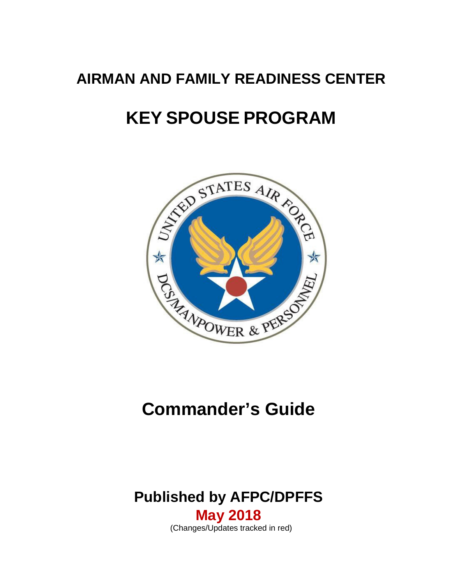## **AIRMAN AND FAMILY READINESS CENTER**

# **KEY SPOUSE PROGRAM**



# **Commander's Guide**

## **Published by AFPC/DPFFS**

**May 2018** (Changes/Updates tracked in red)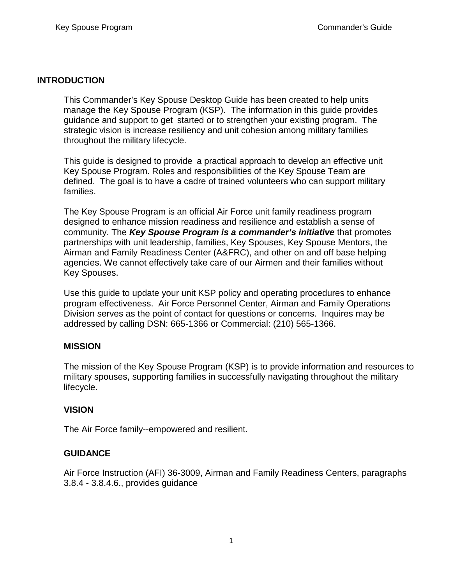#### <span id="page-1-0"></span>**INTRODUCTION**

This Commander's Key Spouse Desktop Guide has been created to help units manage the Key Spouse Program (KSP). The information in this guide provides guidance and support to get started or to strengthen your existing program. The strategic vision is increase resiliency and unit cohesion among military families throughout the military lifecycle.

This guide is designed to provide a practical approach to develop an effective unit Key Spouse Program. Roles and responsibilities of the Key Spouse Team are defined. The goal is to have a cadre of trained volunteers who can support military families.

The Key Spouse Program is an official Air Force unit family readiness program designed to enhance mission readiness and resilience and establish a sense of community. The *Key Spouse Program is a commander's initiative* that promotes partnerships with unit leadership, families, Key Spouses, Key Spouse Mentors, the Airman and Family Readiness Center (A&FRC), and other on and off base helping agencies. We cannot effectively take care of our Airmen and their families without Key Spouses.

Use this guide to update your unit KSP policy and operating procedures to enhance program effectiveness. Air Force Personnel Center, Airman and Family Operations Division serves as the point of contact for questions or concerns. Inquires may be addressed by calling [DSN:](mailto:DSN) 665-1366 or Commercial: (210) 565-1366.

#### <span id="page-1-1"></span>**MISSION**

The mission of the Key Spouse Program (KSP) is to provide information and resources to military spouses, supporting families in successfully navigating throughout the military lifecycle.

## <span id="page-1-2"></span>**VISION**

The Air Force family--empowered and resilient.

## <span id="page-1-3"></span>**GUIDANCE**

Air Force Instruction (AFI) 36-3009, Airman and Family Readiness Centers, paragraphs 3.8.4 - 3.8.4.6., provides guidance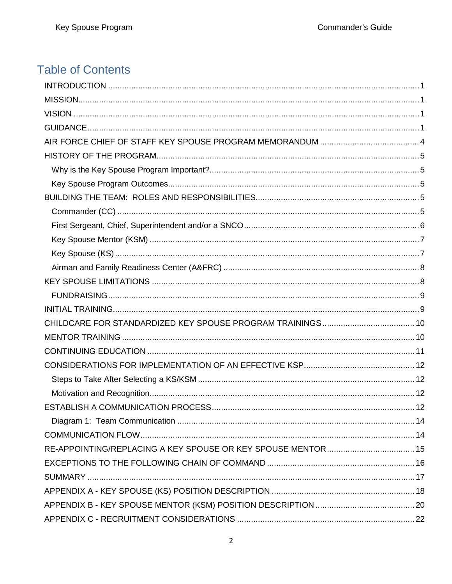## **Table of Contents**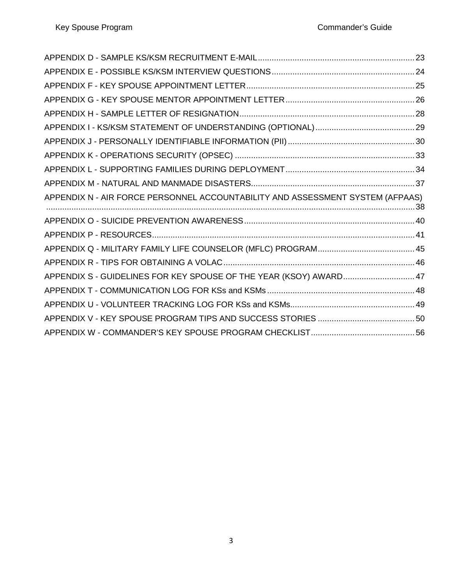| APPENDIX N - AIR FORCE PERSONNEL ACCOUNTABILITY AND ASSESSMENT SYSTEM (AFPAAS) |  |
|--------------------------------------------------------------------------------|--|
|                                                                                |  |
|                                                                                |  |
|                                                                                |  |
|                                                                                |  |
| APPENDIX S - GUIDELINES FOR KEY SPOUSE OF THE YEAR (KSOY) AWARD 47             |  |
|                                                                                |  |
|                                                                                |  |
|                                                                                |  |
|                                                                                |  |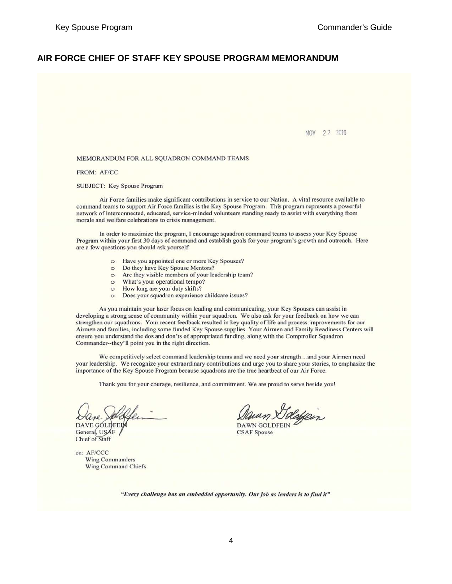#### <span id="page-4-0"></span>**AIR FORCE CHIEF OF STAFF KEY SPOUSE PROGRAM MEMORANDUM**

NOV 22 2016

#### MEMORANDUM FOR ALL SQUADRON COMMAND TEAMS

FROM: AF/CC

**SUBJECT: Key Spouse Program** 

Air Force families make significant contributions in service to our Nation. A vital resource available to command teams to support Air Force families is the Key Spouse Program. This program represents a powerful network of interconnected, educated, service-minded volunteers standing ready to assist with everything from morale and welfare celebrations to crisis management.

In order to maximize the program, I encourage squadron command teams to assess your Key Spouse Program within your first 30 days of command and establish goals for your program's growth and outreach. Here are a few questions you should ask yourself:

- Have you appointed one or more Key Spouses?  $\circ$
- Do they have Key Spouse Mentors?  $\circ$
- Are they visible members of your leadership team?  $\circ$
- o What's your operational tempo?
- How long are your duty shifts?  $\circ$
- Does your squadron experience childcare issues?  $\circ$

As you maintain your laser focus on leading and communicating, your Key Spouses can assist in developing a strong sense of community within your squadron. We also ask for your feedback on how we can strengthen our squadrons. Your recent feedback resulted in key quality of life and process improvements for our Airmen and families, including some funded Key Spouse supplies. Your Airmen and Family Readiness Centers will ensure you understand the dos and don'ts of appropriated funding, along with the Comptroller Squadron Commander--they'll point you in the right direction.

We competitively select command leadership teams and we need your strength...and your Airmen need your leadership. We recognize your extraordinary contributions and urge you to share your stories, to emphasize the importance of the Key Spouse Program because squadrons are the true heartbeat of our Air Force.

Thank you for your courage, resilience, and commitment. We are proud to serve beside you!

**DAVE GOLDFEIM** 

General, USAF Chief of Staff

cc: AF/CCC **Wing Commanders** Wing Command Chiefs

**DAWN GOLDFEIN** 

**CSAF** Spouse

"Every challenge has an embedded opportunity. Our job as leaders is to find it"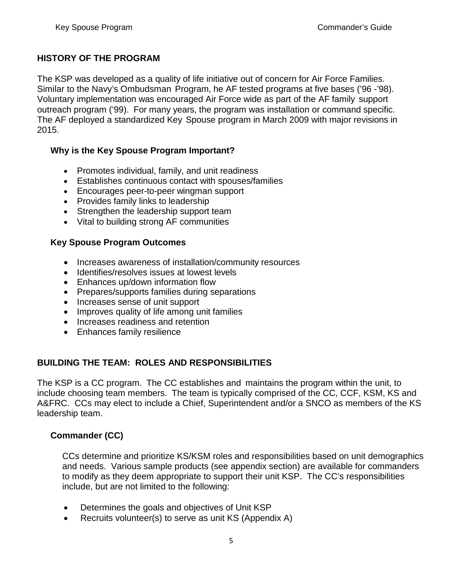## <span id="page-5-0"></span>**HISTORY OF THE PROGRAM**

The KSP was developed as a quality of life initiative out of concern for Air Force Families. Similar to the Navy's Ombudsman Program, he AF tested programs at five bases ('96 -'98). Voluntary implementation was encouraged Air Force wide as part of the AF family support outreach program ('99). For many years, the program was installation or command specific. The AF deployed a standardized Key Spouse program in March 2009 with major revisions in 2015.

## <span id="page-5-1"></span>**Why is the Key Spouse Program Important?**

- Promotes individual, family, and unit readiness
- Establishes continuous contact with spouses/families
- Encourages peer-to-peer wingman support
- Provides family links to leadership
- Strengthen the leadership support team
- Vital to building strong AF communities

## <span id="page-5-2"></span>**Key Spouse Program Outcomes**

- Increases awareness of installation/community resources
- Identifies/resolves issues at lowest levels
- Enhances up/down information flow
- Prepares/supports families during separations
- Increases sense of unit support
- Improves quality of life among unit families
- Increases readiness and retention
- Enhances family resilience

## <span id="page-5-3"></span>**BUILDING THE TEAM: ROLES AND RESPONSIBILITIES**

The KSP is a CC program. The CC establishes and maintains the program within the unit, to include choosing team members. The team is typically comprised of the CC, CCF, KSM, KS and A&FRC. CCs may elect to include a Chief, Superintendent and/or a SNCO as members of the KS leadership team.

## <span id="page-5-4"></span>**Commander (CC)**

CCs determine and prioritize KS/KSM roles and responsibilities based on unit demographics and needs. Various sample products (see appendix section) are available for commanders to modify as they deem appropriate to support their unit KSP. The CC's responsibilities include, but are not limited to the following:

- Determines the goals and objectives of Unit KSP
- Recruits volunteer(s) to serve as unit KS (Appendix A)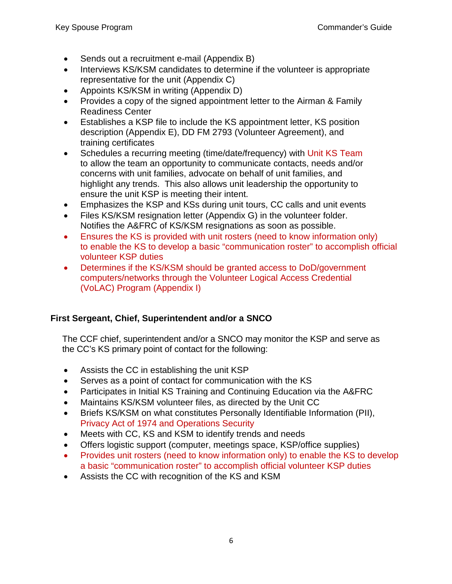- Sends out a recruitment e-mail (Appendix B)
- Interviews KS/KSM candidates to determine if the volunteer is appropriate representative for the unit (Appendix C)
- Appoints KS/KSM in writing (Appendix D)
- Provides a copy of the signed appointment letter to the Airman & Family Readiness Center
- Establishes a KSP file to include the KS appointment letter, KS position description (Appendix E), DD FM 2793 (Volunteer Agreement), and training certificates
- Schedules a recurring meeting (time/date/frequency) with Unit KS Team to allow the team an opportunity to communicate contacts, needs and/or concerns with unit families, advocate on behalf of unit families, and highlight any trends. This also allows unit leadership the opportunity to ensure the unit KSP is meeting their intent.
- Emphasizes the KSP and KSs during unit tours, CC calls and unit events
- Files KS/KSM resignation letter (Appendix G) in the volunteer folder. Notifies the A&FRC of KS/KSM resignations as soon as possible.
- Ensures the KS is provided with unit rosters (need to know information only) to enable the KS to develop a basic "communication roster" to accomplish official volunteer KSP duties
- Determines if the KS/KSM should be granted access to DoD/government computers/networks through the Volunteer Logical Access Credential (VoLAC) Program (Appendix I)

## <span id="page-6-0"></span>**First Sergeant, Chief, Superintendent and/or a SNCO**

The CCF chief, superintendent and/or a SNCO may monitor the KSP and serve as the CC's KS primary point of contact for the following:

- Assists the CC in establishing the unit KSP
- Serves as a point of contact for communication with the KS
- Participates in Initial KS Training and Continuing Education via the A&FRC
- Maintains KS/KSM volunteer files, as directed by the Unit CC
- Briefs KS/KSM on what constitutes Personally Identifiable Information (PII), Privacy Act of 1974 and Operations Security
- Meets with CC, KS and KSM to identify trends and needs
- Offers logistic support (computer, meetings space, KSP/office supplies)
- Provides unit rosters (need to know information only) to enable the KS to develop a basic "communication roster" to accomplish official volunteer KSP duties
- Assists the CC with recognition of the KS and KSM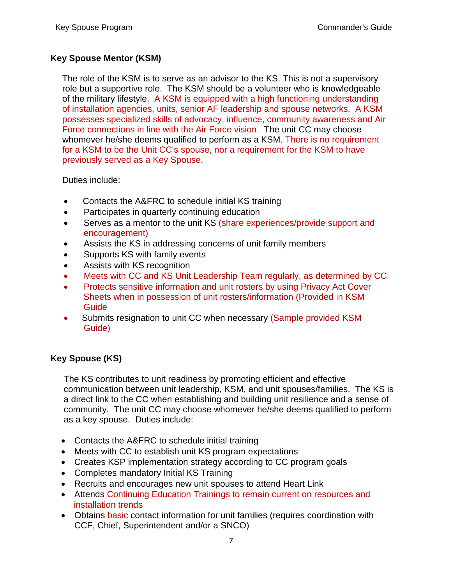## <span id="page-7-0"></span>**Key Spouse Mentor (KSM)**

The role of the KSM is to serve as an advisor to the KS. This is not a supervisory role but a supportive role. The KSM should be a volunteer who is knowledgeable of the military lifestyle. A KSM is equipped with a high functioning understanding of installation agencies, units, senior AF leadership and spouse networks. A KSM possesses specialized skills of advocacy, influence, community awareness and Air Force connections in line with the Air Force vision. The unit CC may choose whomever he/she deems qualified to perform as a KSM. There is no requirement for a KSM to be the Unit CC's spouse, nor a requirement for the KSM to have previously served as a Key Spouse.

#### Duties include:

- Contacts the A&FRC to schedule initial KS training
- Participates in quarterly continuing education
- Serves as a mentor to the unit KS (share experiences/provide support and encouragement)
- Assists the KS in addressing concerns of unit family members
- Supports KS with family events
- Assists with KS recognition
- Meets with CC and KS Unit Leadership Team regularly, as determined by CC
- Protects sensitive information and unit rosters by using Privacy Act Cover Sheets when in possession of unit rosters/information (Provided in KSM Guide
- Submits resignation to unit CC when necessary (Sample provided KSM Guide)

## <span id="page-7-1"></span>**Key Spouse (KS)**

The KS contributes to unit readiness by promoting efficient and effective communication between unit leadership, KSM, and unit spouses/families. The KS is a direct link to the CC when establishing and building unit resilience and a sense of community. The unit CC may choose whomever he/she deems qualified to perform as a key spouse. Duties include:

- Contacts the A&FRC to schedule initial training
- Meets with CC to establish unit KS program expectations
- Creates KSP implementation strategy according to CC program goals
- Completes mandatory Initial KS Training
- Recruits and encourages new unit spouses to attend Heart Link
- Attends Continuing Education Trainings to remain current on resources and installation trends
- Obtains basic contact information for unit families (requires coordination with CCF, Chief, Superintendent and/or a SNCO)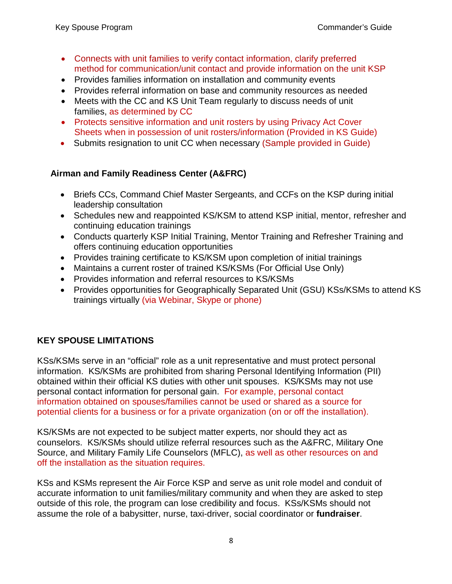- Connects with unit families to verify contact information, clarify preferred method for communication/unit contact and provide information on the unit KSP
- Provides families information on installation and community events
- Provides referral information on base and community resources as needed
- Meets with the CC and KS Unit Team regularly to discuss needs of unit families, as determined by CC
- Protects sensitive information and unit rosters by using Privacy Act Cover Sheets when in possession of unit rosters/information (Provided in KS Guide)
- Submits resignation to unit CC when necessary (Sample provided in Guide)

## <span id="page-8-0"></span>**Airman and Family Readiness Center (A&FRC)**

- Briefs CCs, Command Chief Master Sergeants, and CCFs on the KSP during initial leadership consultation
- Schedules new and reappointed KS/KSM to attend KSP initial, mentor, refresher and continuing education trainings
- Conducts quarterly KSP Initial Training, Mentor Training and Refresher Training and offers continuing education opportunities
- Provides training certificate to KS/KSM upon completion of initial trainings
- Maintains a current roster of trained KS/KSMs (For Official Use Only)
- Provides information and referral resources to KS/KSMs
- Provides opportunities for Geographically Separated Unit (GSU) KSs/KSMs to attend KS trainings virtually (via Webinar, Skype or phone)

## <span id="page-8-1"></span>**KEY SPOUSE LIMITATIONS**

KSs/KSMs serve in an "official" role as a unit representative and must protect personal information. KS/KSMs are prohibited from sharing Personal Identifying Information (PII) obtained within their official KS duties with other unit spouses. KS/KSMs may not use personal contact information for personal gain. For example, personal contact information obtained on spouses/families cannot be used or shared as a source for potential clients for a business or for a private organization (on or off the installation).

KS/KSMs are not expected to be subject matter experts, nor should they act as counselors. KS/KSMs should utilize referral resources such as the A&FRC, Military One Source, and Military Family Life Counselors (MFLC), as well as other resources on and off the installation as the situation requires.

KSs and KSMs represent the Air Force KSP and serve as unit role model and conduit of accurate information to unit families/military community and when they are asked to step outside of this role, the program can lose credibility and focus. KSs/KSMs should not assume the role of a babysitter, nurse, taxi-driver, social coordinator or **fundraiser**.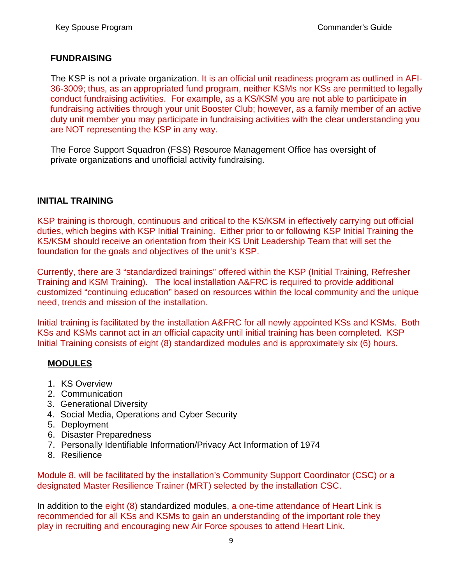## <span id="page-9-0"></span>**FUNDRAISING**

The KSP is not a private organization. It is an official unit readiness program as outlined in AFI-36-3009; thus, as an appropriated fund program, neither KSMs nor KSs are permitted to legally conduct fundraising activities. For example, as a KS/KSM you are not able to participate in fundraising activities through your unit Booster Club; however, as a family member of an active duty unit member you may participate in fundraising activities with the clear understanding you are NOT representing the KSP in any way.

The Force Support Squadron (FSS) Resource Management Office has oversight of private organizations and unofficial activity fundraising.

## <span id="page-9-1"></span>**INITIAL TRAINING**

KSP training is thorough, continuous and critical to the KS/KSM in effectively carrying out official duties, which begins with KSP Initial Training. Either prior to or following KSP Initial Training the KS/KSM should receive an orientation from their KS Unit Leadership Team that will set the foundation for the goals and objectives of the unit's KSP.

Currently, there are 3 "standardized trainings" offered within the KSP (Initial Training, Refresher Training and KSM Training). The local installation A&FRC is required to provide additional customized "continuing education" based on resources within the local community and the unique need, trends and mission of the installation.

Initial training is facilitated by the installation A&FRC for all newly appointed KSs and KSMs. Both KSs and KSMs cannot act in an official capacity until initial training has been completed. KSP Initial Training consists of eight (8) standardized modules and is approximately six (6) hours.

## **MODULES**

- 1. KS Overview
- 2. Communication
- 3. Generational Diversity
- 4. Social Media, Operations and Cyber Security
- 5. Deployment
- 6. Disaster Preparedness
- 7. Personally Identifiable Information/Privacy Act Information of 1974
- 8. Resilience

Module 8, will be facilitated by the installation's Community Support Coordinator (CSC) or a designated Master Resilience Trainer (MRT) selected by the installation CSC.

In addition to the eight (8) standardized modules, a one-time attendance of Heart Link is recommended for all KSs and KSMs to gain an understanding of the important role they play in recruiting and encouraging new Air Force spouses to attend Heart Link.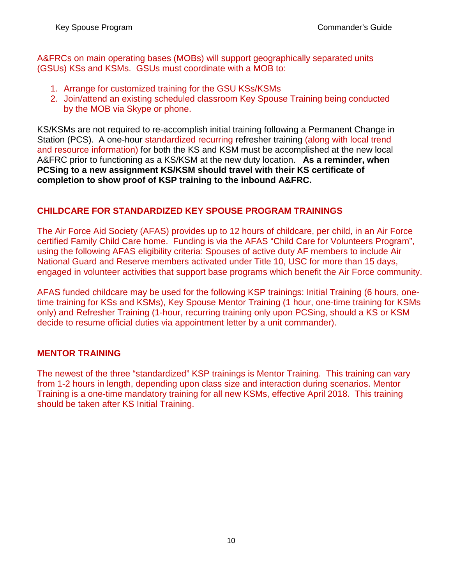A&FRCs on main operating bases (MOBs) will support geographically separated units (GSUs) KSs and KSMs. GSUs must coordinate with a MOB to:

- 1. Arrange for customized training for the GSU KSs/KSMs
- 2. Join/attend an existing scheduled classroom Key Spouse Training being conducted by the MOB via Skype or phone.

KS/KSMs are not required to re-accomplish initial training following a Permanent Change in Station (PCS). A one-hour standardized recurring refresher training (along with local trend and resource information) for both the KS and KSM must be accomplished at the new local A&FRC prior to functioning as a KS/KSM at the new duty location. **As a reminder, when PCSing to a new assignment KS/KSM should travel with their KS certificate of completion to show proof of KSP training to the inbound A&FRC.**

## <span id="page-10-0"></span>**CHILDCARE FOR STANDARDIZED KEY SPOUSE PROGRAM TRAININGS**

The Air Force Aid Society (AFAS) provides up to 12 hours of childcare, per child, in an Air Force certified Family Child Care home. Funding is via the AFAS "Child Care for Volunteers Program", using the following AFAS eligibility criteria: Spouses of active duty AF members to include Air National Guard and Reserve members activated under Title 10, USC for more than 15 days, engaged in volunteer activities that support base programs which benefit the Air Force community.

AFAS funded childcare may be used for the following KSP trainings: Initial Training (6 hours, onetime training for KSs and KSMs), Key Spouse Mentor Training (1 hour, one-time training for KSMs only) and Refresher Training (1-hour, recurring training only upon PCSing, should a KS or KSM decide to resume official duties via appointment letter by a unit commander).

## <span id="page-10-1"></span>**MENTOR TRAINING**

The newest of the three "standardized" KSP trainings is Mentor Training. This training can vary from 1-2 hours in length, depending upon class size and interaction during scenarios. Mentor Training is a one-time mandatory training for all new KSMs, effective April 2018. This training should be taken after KS Initial Training.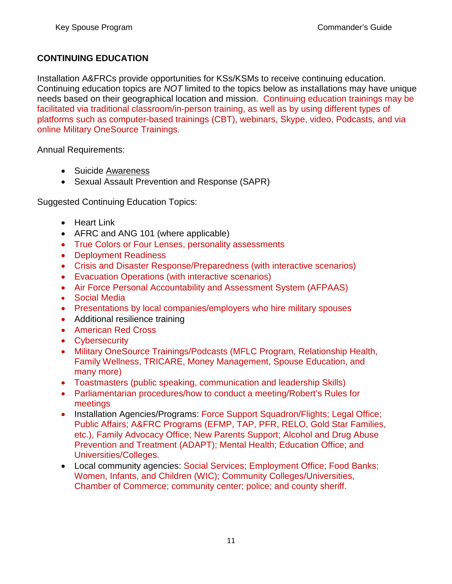## <span id="page-11-0"></span>**CONTINUING EDUCATION**

Installation A&FRCs provide opportunities for KSs/KSMs to receive continuing education. Continuing education topics are *NOT* limited to the topics below as installations may have unique needs based on their geographical location and mission. Continuing education trainings may be facilitated via traditional classroom/in-person training, as well as by using different types of platforms such as computer-based trainings (CBT), webinars, Skype, video, Podcasts, and via online Military OneSource Trainings.

Annual Requirements:

- Suicide Awareness
- Sexual Assault Prevention and Response (SAPR)

Suggested Continuing Education Topics:

- Heart Link
- AFRC and ANG 101 (where applicable)
- True Colors or Four Lenses, personality assessments
- Deployment Readiness
- Crisis and Disaster Response/Preparedness (with interactive scenarios)
- Evacuation Operations (with interactive scenarios)
- Air Force Personal Accountability and Assessment System (AFPAAS)
- Social Media
- Presentations by local companies/employers who hire military spouses
- Additional resilience training
- American Red Cross
- Cybersecurity
- Military OneSource Trainings/Podcasts (MFLC Program, Relationship Health, Family Wellness, TRICARE, Money Management, Spouse Education, and many more)
- Toastmasters (public speaking, communication and leadership Skills)
- Parliamentarian procedures/how to conduct a meeting/Robert's Rules for meetings
- Installation Agencies/Programs: Force Support Squadron/Flights: Legal Office: Public Affairs; A&FRC Programs (EFMP, TAP, PFR, RELO, Gold Star Families, etc.), Family Advocacy Office; New Parents Support; Alcohol and Drug Abuse Prevention and Treatment (ADAPT); Mental Health; Education Office; and Universities/Colleges.
- Local community agencies: Social Services; Employment Office; Food Banks; Women, Infants, and Children (WIC); Community Colleges/Universities, Chamber of Commerce; community center; police; and county sheriff.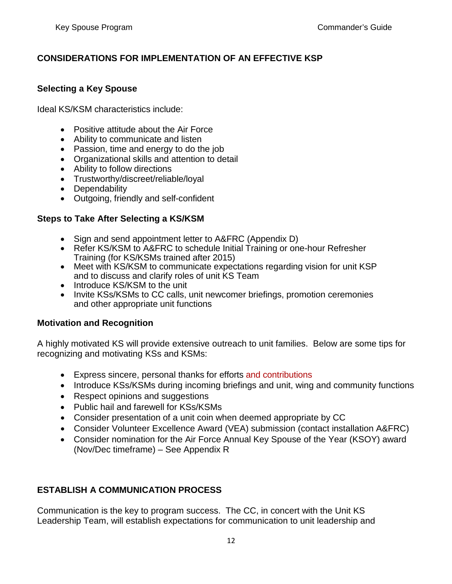## <span id="page-12-0"></span>**CONSIDERATIONS FOR IMPLEMENTATION OF AN EFFECTIVE KSP**

#### **Selecting a Key Spouse**

Ideal KS/KSM characteristics include:

- Positive attitude about the Air Force
- Ability to communicate and listen
- Passion, time and energy to do the job
- Organizational skills and attention to detail
- Ability to follow directions
- Trustworthy/discreet/reliable/loyal
- Dependability
- Outgoing, friendly and self-confident

## <span id="page-12-1"></span>**Steps to Take After Selecting a KS/KSM**

- Sign and send appointment letter to A&FRC (Appendix D)
- Refer KS/KSM to A&FRC to schedule Initial Training or one-hour Refresher Training (for KS/KSMs trained after 2015)
- Meet with KS/KSM to communicate expectations regarding vision for unit KSP and to discuss and clarify roles of unit KS Team
- Introduce KS/KSM to the unit
- Invite KSs/KSMs to CC calls, unit newcomer briefings, promotion ceremonies and other appropriate unit functions

#### <span id="page-12-2"></span>**Motivation and Recognition**

A highly motivated KS will provide extensive outreach to unit families. Below are some tips for recognizing and motivating KSs and KSMs:

- Express sincere, personal thanks for efforts and contributions
- Introduce KSs/KSMs during incoming briefings and unit, wing and community functions
- Respect opinions and suggestions
- Public hail and farewell for KSs/KSMs
- Consider presentation of a unit coin when deemed appropriate by CC
- Consider Volunteer Excellence Award (VEA) submission (contact installation A&FRC)
- Consider nomination for the Air Force Annual Key Spouse of the Year (KSOY) award (Nov/Dec timeframe) – See Appendix R

## <span id="page-12-3"></span>**ESTABLISH A COMMUNICATION PROCESS**

Communication is the key to program success. The CC, in concert with the Unit KS Leadership Team, will establish expectations for communication to unit leadership and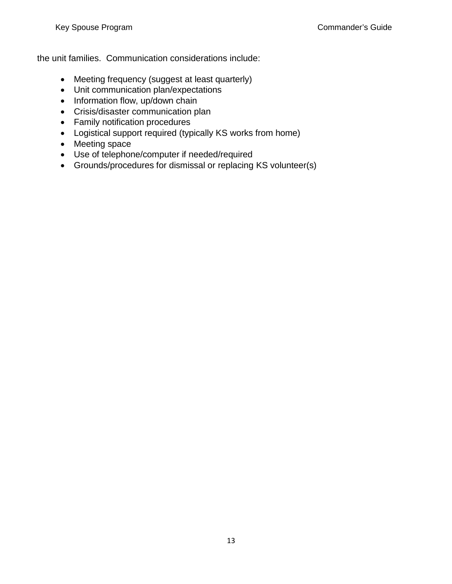the unit families. Communication considerations include:

- Meeting frequency (suggest at least quarterly)
- Unit communication plan/expectations
- Information flow, up/down chain
- Crisis/disaster communication plan
- Family notification procedures
- Logistical support required (typically KS works from home)
- Meeting space
- Use of telephone/computer if needed/required
- Grounds/procedures for dismissal or replacing KS volunteer(s)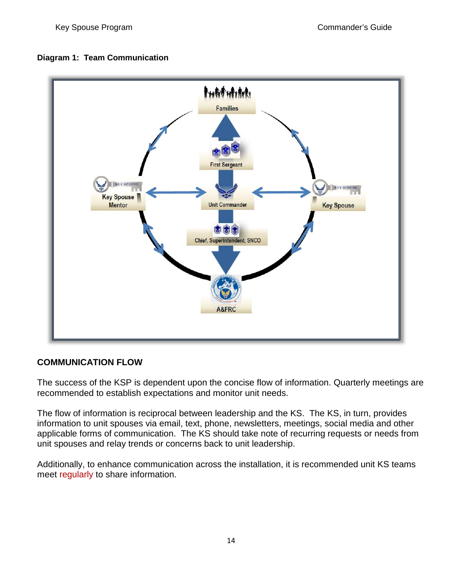#### <span id="page-14-0"></span>**Diagram 1: Team Communication**



#### <span id="page-14-1"></span>**COMMUNICATION FLOW**

The success of the KSP is dependent upon the concise flow of information. Quarterly meetings are recommended to establish expectations and monitor unit needs.

The flow of information is reciprocal between leadership and the KS. The KS, in turn, provides information to unit spouses via email, text, phone, newsletters, meetings, social media and other applicable forms of communication. The KS should take note of recurring requests or needs from unit spouses and relay trends or concerns back to unit leadership.

Additionally, to enhance communication across the installation, it is recommended unit KS teams meet regularly to share information.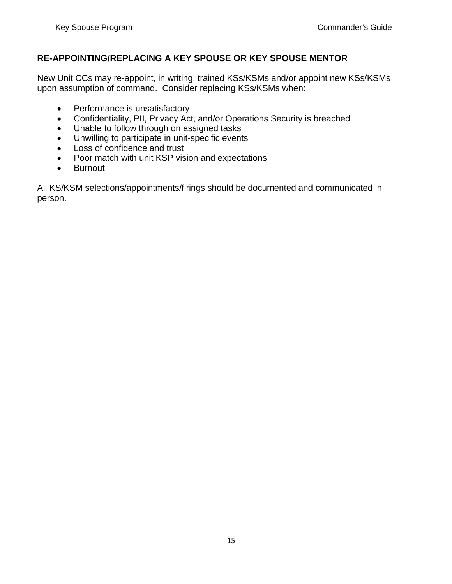## <span id="page-15-0"></span>**RE-APPOINTING/REPLACING A KEY SPOUSE OR KEY SPOUSE MENTOR**

New Unit CCs may re-appoint, in writing, trained KSs/KSMs and/or appoint new KSs/KSMs upon assumption of command. Consider replacing KSs/KSMs when:

- Performance is unsatisfactory
- Confidentiality, PII, Privacy Act, and/or Operations Security is breached
- Unable to follow through on assigned tasks
- Unwilling to participate in unit-specific events
- Loss of confidence and trust
- Poor match with unit KSP vision and expectations
- Burnout

All KS/KSM selections/appointments/firings should be documented and communicated in person.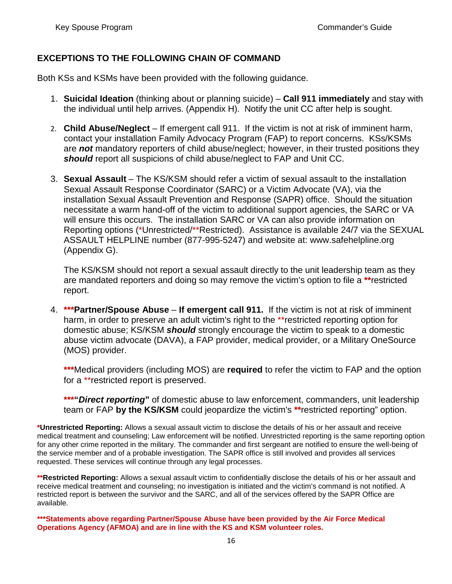## <span id="page-16-0"></span>**EXCEPTIONS TO THE FOLLOWING CHAIN OF COMMAND**

Both KSs and KSMs have been provided with the following guidance.

- 1. **Suicidal Ideation** (thinking about or planning suicide) **Call 911 immediately** and stay with the individual until help arrives. (Appendix H). Notify the unit CC after help is sought.
- 2. **Child Abuse/Neglect** If emergent call 911. If the victim is not at risk of imminent harm, contact your installation Family Advocacy Program (FAP) to report concerns. KSs/KSMs are *not* mandatory reporters of child abuse/neglect; however, in their trusted positions they *should* report all suspicions of child abuse/neglect to FAP and Unit CC.
- 3. **Sexual Assault** The KS/KSM should refer a victim of sexual assault to the installation Sexual Assault Response Coordinator (SARC) or a Victim Advocate (VA), via the installation Sexual Assault Prevention and Response (SAPR) office. Should the situation necessitate a warm hand-off of the victim to additional support agencies, the SARC or VA will ensure this occurs. The installation SARC or VA can also provide information on Reporting options (\*Unrestricted/\*\*Restricted). Assistance is available 24/7 via the SEXUAL ASSAULT HELPLINE number (877-995-5247) and website at: www.safehelpline.org (Appendix G).

The KS/KSM should not report a sexual assault directly to the unit leadership team as they are mandated reporters and doing so may remove the victim's option to file a **\*\***restricted report.

4. **\*\*\*Partner/Spouse Abuse** – **If emergent call 911.** If the victim is not at risk of imminent harm, in order to preserve an adult victim's right to the \*\*restricted reporting option for domestic abuse; KS/KSM *should* strongly encourage the victim to speak to a domestic abuse victim advocate (DAVA), a FAP provider, medical provider, or a Military OneSource (MOS) provider.

**\*\*\***Medical providers (including MOS) are **required** to refer the victim to FAP and the option for a \*\*restricted report is preserved.

**\*\*\*"***Direct reporting***"** of domestic abuse to law enforcement, commanders, unit leadership team or FAP **by the KS/KSM** could jeopardize the victim's **\*\***restricted reporting" option.

**\*Unrestricted Reporting:** Allows a sexual assault victim to disclose the details of his or her assault and receive medical treatment and counseling; Law enforcement will be notified. Unrestricted reporting is the same reporting option for any other crime reported in the military. The commander and first sergeant are notified to ensure the well-being of the service member and of a probable investigation. The SAPR office is still involved and provides all services requested. These services will continue through any legal processes.

**\*\*Restricted Reporting:** Allows a sexual assault victim to confidentially disclose the details of his or her assault and receive medical treatment and counseling; no investigation is initiated and the victim's command is not notified. A restricted report is between the survivor and the SARC, and all of the services offered by the SAPR Office are available.

**\*\*\*Statements above regarding Partner/Spouse Abuse have been provided by the Air Force Medical Operations Agency (AFMOA) and are in line with the KS and KSM volunteer roles.**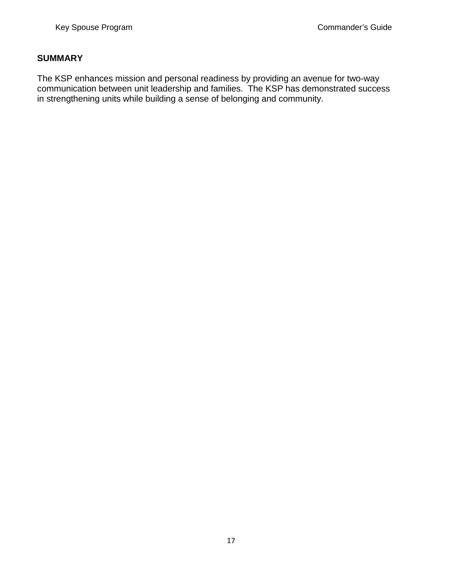## <span id="page-17-0"></span>**SUMMARY**

The KSP enhances mission and personal readiness by providing an avenue for two-way communication between unit leadership and families. The KSP has demonstrated success in strengthening units while building a sense of belonging and community.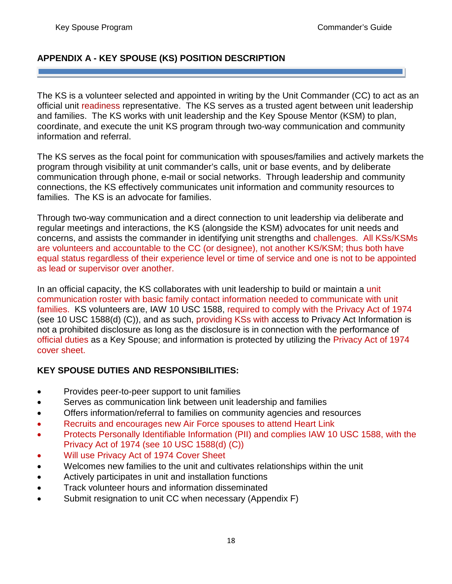## <span id="page-18-0"></span>**APPENDIX A - KEY SPOUSE (KS) POSITION DESCRIPTION**

The KS is a volunteer selected and appointed in writing by the Unit Commander (CC) to act as an official unit readiness representative. The KS serves as a trusted agent between unit leadership and families. The KS works with unit leadership and the Key Spouse Mentor (KSM) to plan, coordinate, and execute the unit KS program through two-way communication and community information and referral.

The KS serves as the focal point for communication with spouses/families and actively markets the program through visibility at unit commander's calls, unit or base events, and by deliberate communication through phone, e-mail or social networks. Through leadership and community connections, the KS effectively communicates unit information and community resources to families. The KS is an advocate for families.

Through two-way communication and a direct connection to unit leadership via deliberate and regular meetings and interactions, the KS (alongside the KSM) advocates for unit needs and concerns, and assists the commander in identifying unit strengths and challenges. All KSs/KSMs are volunteers and accountable to the CC (or designee), not another KS/KSM; thus both have equal status regardless of their experience level or time of service and one is not to be appointed as lead or supervisor over another.

In an official capacity, the KS collaborates with unit leadership to build or maintain a unit communication roster with basic family contact information needed to communicate with unit families. KS volunteers are, IAW 10 USC 1588, required to comply with the Privacy Act of 1974 (see 10 USC 1588(d) (C)), and as such, providing KSs with access to Privacy Act Information is not a prohibited disclosure as long as the disclosure is in connection with the performance of official duties as a Key Spouse; and information is protected by utilizing the Privacy Act of 1974 cover sheet.

## **KEY SPOUSE DUTIES AND RESPONSIBILITIES:**

- Provides peer-to-peer support to unit families
- Serves as communication link between unit leadership and families
- Offers information/referral to families on community agencies and resources
- Recruits and encourages new Air Force spouses to attend Heart Link
- Protects Personally Identifiable Information (PII) and complies IAW 10 USC 1588, with the Privacy Act of 1974 (see 10 USC 1588(d) (C))
- Will use Privacy Act of 1974 Cover Sheet
- Welcomes new families to the unit and cultivates relationships within the unit
- Actively participates in unit and installation functions
- Track volunteer hours and information disseminated
- Submit resignation to unit CC when necessary (Appendix F)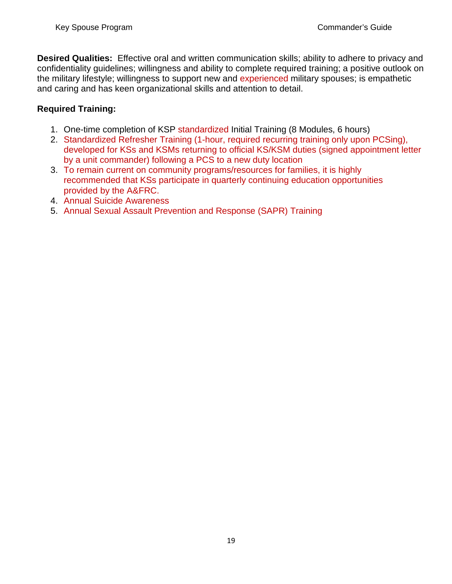**Desired Qualities:** Effective oral and written communication skills; ability to adhere to privacy and confidentiality guidelines; willingness and ability to complete required training; a positive outlook on the military lifestyle; willingness to support new and experienced military spouses; is empathetic and caring and has keen organizational skills and attention to detail.

## **Required Training:**

- 1. One-time completion of KSP standardized Initial Training (8 Modules, 6 hours)
- 2. Standardized Refresher Training (1-hour, required recurring training only upon PCSing), developed for KSs and KSMs returning to official KS/KSM duties (signed appointment letter by a unit commander) following a PCS to a new duty location
- 3. To remain current on community programs/resources for families, it is highly recommended that KSs participate in quarterly continuing education opportunities provided by the A&FRC.
- 4. Annual Suicide Awareness
- 5. Annual Sexual Assault Prevention and Response (SAPR) Training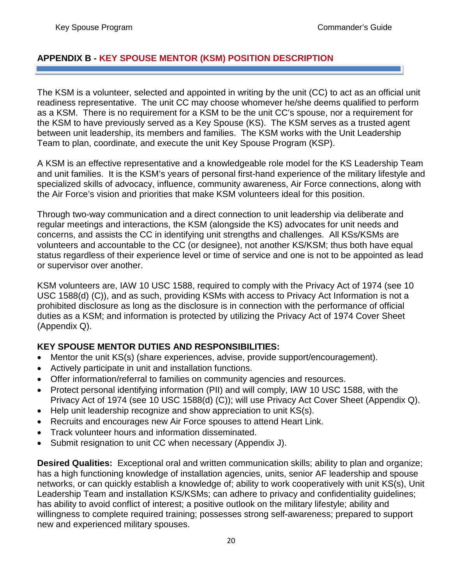## <span id="page-20-0"></span>**APPENDIX B - KEY SPOUSE MENTOR (KSM) POSITION DESCRIPTION**

The KSM is a volunteer, selected and appointed in writing by the unit (CC) to act as an official unit readiness representative. The unit CC may choose whomever he/she deems qualified to perform as a KSM. There is no requirement for a KSM to be the unit CC's spouse, nor a requirement for the KSM to have previously served as a Key Spouse (KS). The KSM serves as a trusted agent between unit leadership, its members and families. The KSM works with the Unit Leadership Team to plan, coordinate, and execute the unit Key Spouse Program (KSP).

A KSM is an effective representative and a knowledgeable role model for the KS Leadership Team and unit families. It is the KSM's years of personal first-hand experience of the military lifestyle and specialized skills of advocacy, influence, community awareness, Air Force connections, along with the Air Force's vision and priorities that make KSM volunteers ideal for this position.

Through two-way communication and a direct connection to unit leadership via deliberate and regular meetings and interactions, the KSM (alongside the KS) advocates for unit needs and concerns, and assists the CC in identifying unit strengths and challenges. All KSs/KSMs are volunteers and accountable to the CC (or designee), not another KS/KSM; thus both have equal status regardless of their experience level or time of service and one is not to be appointed as lead or supervisor over another.

KSM volunteers are, IAW 10 USC 1588, required to comply with the Privacy Act of 1974 (see 10 USC 1588(d) (C)), and as such, providing KSMs with access to Privacy Act Information is not a prohibited disclosure as long as the disclosure is in connection with the performance of official duties as a KSM; and information is protected by utilizing the Privacy Act of 1974 Cover Sheet (Appendix Q).

## **KEY SPOUSE MENTOR DUTIES AND RESPONSIBILITIES:**

- Mentor the unit KS(s) (share experiences, advise, provide support/encouragement).
- Actively participate in unit and installation functions.
- Offer information/referral to families on community agencies and resources.
- Protect personal identifying information (PII) and will comply, IAW 10 USC 1588, with the Privacy Act of 1974 (see 10 USC 1588(d) (C)); will use Privacy Act Cover Sheet (Appendix Q).
- Help unit leadership recognize and show appreciation to unit KS(s).
- Recruits and encourages new Air Force spouses to attend Heart Link.
- Track volunteer hours and information disseminated.
- Submit resignation to unit CC when necessary (Appendix J).

**Desired Qualities:** Exceptional oral and written communication skills; ability to plan and organize; has a high functioning knowledge of installation agencies, units, senior AF leadership and spouse networks, or can quickly establish a knowledge of; ability to work cooperatively with unit KS(s), Unit Leadership Team and installation KS/KSMs; can adhere to privacy and confidentiality guidelines; has ability to avoid conflict of interest; a positive outlook on the military lifestyle; ability and willingness to complete required training; possesses strong self-awareness; prepared to support new and experienced military spouses.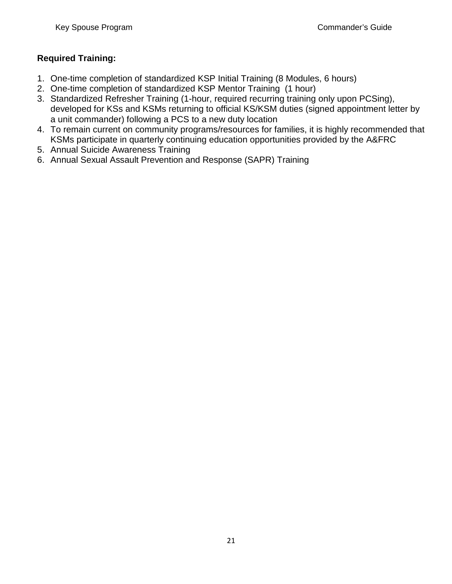## **Required Training:**

- 1. One-time completion of standardized KSP Initial Training (8 Modules, 6 hours)
- 2. One-time completion of standardized KSP Mentor Training (1 hour)
- 3. Standardized Refresher Training (1-hour, required recurring training only upon PCSing), developed for KSs and KSMs returning to official KS/KSM duties (signed appointment letter by a unit commander) following a PCS to a new duty location
- 4. To remain current on community programs/resources for families, it is highly recommended that KSMs participate in quarterly continuing education opportunities provided by the A&FRC
- 5. Annual Suicide Awareness Training
- 6. Annual Sexual Assault Prevention and Response (SAPR) Training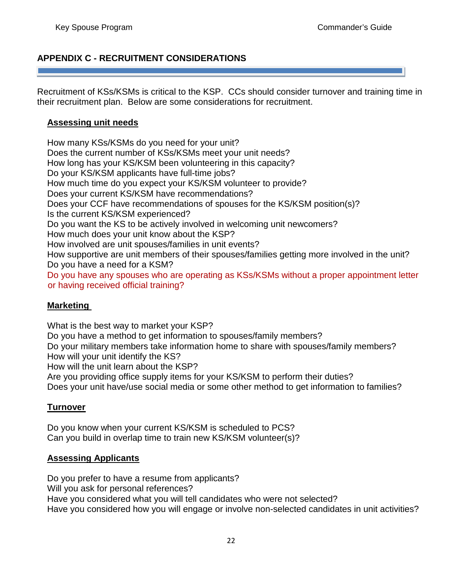## <span id="page-22-0"></span>**APPENDIX C - RECRUITMENT CONSIDERATIONS**

Recruitment of KSs/KSMs is critical to the KSP. CCs should consider turnover and training time in their recruitment plan. Below are some considerations for recruitment.

#### **Assessing unit needs**

How many KSs/KSMs do you need for your unit? Does the current number of KSs/KSMs meet your unit needs? How long has your KS/KSM been volunteering in this capacity? Do your KS/KSM applicants have full-time jobs? How much time do you expect your KS/KSM volunteer to provide? Does your current KS/KSM have recommendations? Does your CCF have recommendations of spouses for the KS/KSM position(s)? Is the current KS/KSM experienced? Do you want the KS to be actively involved in welcoming unit newcomers? How much does your unit know about the KSP? How involved are unit spouses/families in unit events? How supportive are unit members of their spouses/families getting more involved in the unit? Do you have a need for a KSM? Do you have any spouses who are operating as KSs/KSMs without a proper appointment letter or having received official training?

#### **Marketing**

What is the best way to market your KSP? Do you have a method to get information to spouses/family members? Do your military members take information home to share with spouses/family members?

How will your unit identify the KS?

How will the unit learn about the KSP?

Are you providing office supply items for your KS/KSM to perform their duties? Does your unit have/use social media or some other method to get information to families?

#### **Turnover**

Do you know when your current KS/KSM is scheduled to PCS? Can you build in overlap time to train new KS/KSM volunteer(s)?

#### **Assessing Applicants**

Do you prefer to have a resume from applicants? Will you ask for personal references? Have you considered what you will tell candidates who were not selected? Have you considered how you will engage or involve non-selected candidates in unit activities?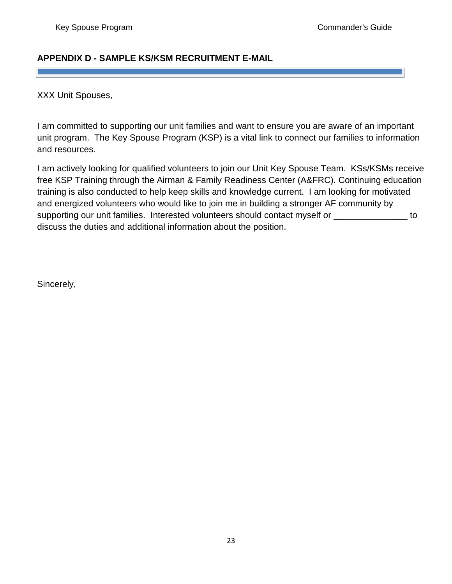## <span id="page-23-0"></span>**APPENDIX D - SAMPLE KS/KSM RECRUITMENT E-MAIL**

#### XXX Unit Spouses,

I am committed to supporting our unit families and want to ensure you are aware of an important unit program. The Key Spouse Program (KSP) is a vital link to connect our families to information and resources.

I am actively looking for qualified volunteers to join our Unit Key Spouse Team. KSs/KSMs receive free KSP Training through the Airman & Family Readiness Center (A&FRC). Continuing education training is also conducted to help keep skills and knowledge current. I am looking for motivated and energized volunteers who would like to join me in building a stronger AF community by supporting our unit families. Interested volunteers should contact myself or  $\qquad \qquad$  to discuss the duties and additional information about the position.

Sincerely,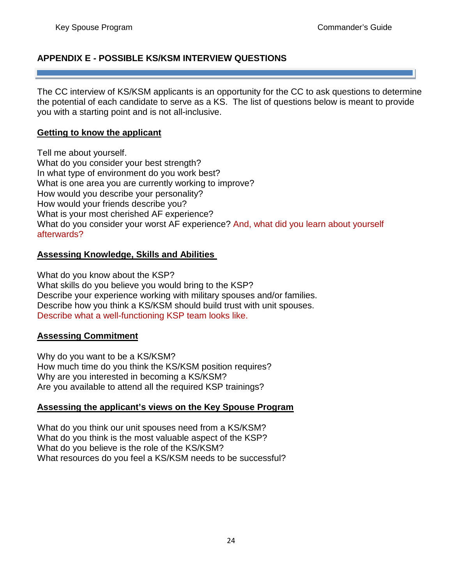## <span id="page-24-0"></span>**APPENDIX E - POSSIBLE KS/KSM INTERVIEW QUESTIONS**

The CC interview of KS/KSM applicants is an opportunity for the CC to ask questions to determine the potential of each candidate to serve as a KS. The list of questions below is meant to provide you with a starting point and is not all-inclusive.

#### **Getting to know the applicant**

Tell me about yourself. What do you consider your best strength? In what type of environment do you work best? What is one area you are currently working to improve? How would you describe your personality? How would your friends describe you? What is your most cherished AF experience? What do you consider your worst AF experience? And, what did you learn about yourself afterwards?

#### **Assessing Knowledge, Skills and Abilities**

What do you know about the KSP? What skills do you believe you would bring to the KSP? Describe your experience working with military spouses and/or families. Describe how you think a KS/KSM should build trust with unit spouses. Describe what a well-functioning KSP team looks like.

#### **Assessing Commitment**

Why do you want to be a KS/KSM? How much time do you think the KS/KSM position requires? Why are you interested in becoming a KS/KSM? Are you available to attend all the required KSP trainings?

#### **Assessing the applicant's views on the Key Spouse Program**

What do you think our unit spouses need from a KS/KSM? What do you think is the most valuable aspect of the KSP? What do you believe is the role of the KS/KSM? What resources do you feel a KS/KSM needs to be successful?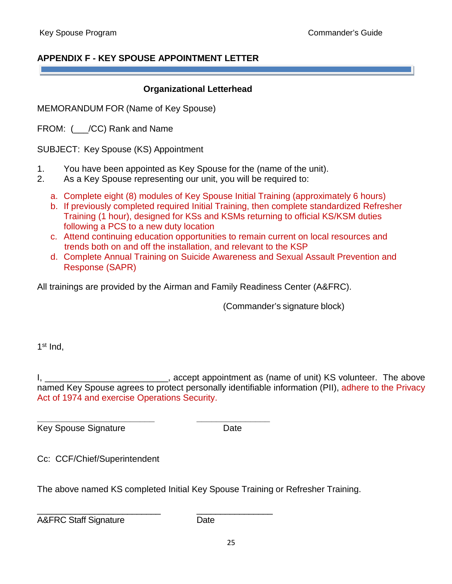## <span id="page-25-0"></span>**APPENDIX F - KEY SPOUSE APPOINTMENT LETTER**

## **Organizational Letterhead**

MEMORANDUM FOR (Name of Key Spouse)

FROM:  $($  /CC) Rank and Name

SUBJECT: Key Spouse (KS) Appointment

- 1. You have been appointed as Key Spouse for the (name of the unit).
- 2. As a Key Spouse representing our unit, you will be required to:
	- a. Complete eight (8) modules of Key Spouse Initial Training (approximately 6 hours)
	- b. If previously completed required Initial Training, then complete standardized Refresher Training (1 hour), designed for KSs and KSMs returning to official KS/KSM duties following a PCS to a new duty location
	- c. Attend continuing education opportunities to remain current on local resources and trends both on and off the installation, and relevant to the KSP
	- d. Complete Annual Training on Suicide Awareness and Sexual Assault Prevention and Response (SAPR)

All trainings are provided by the Airman and Family Readiness Center (A&FRC).

(Commander's signature block)

1<sup>st</sup> Ind,

I, \_\_\_\_\_\_\_\_\_\_\_\_\_\_\_\_\_\_\_\_\_\_\_\_\_\_, accept appointment as (name of unit) KS volunteer. The above named Key Spouse agrees to protect personally identifiable information (PII), adhere to the Privacy Act of 1974 and exercise Operations Security.

**\_\_\_\_\_\_\_\_\_\_\_\_\_\_\_\_\_\_\_\_\_\_\_\_ \_\_\_\_\_\_\_\_\_\_\_\_\_\_\_** Key Spouse Signature **Date** 

Cc: CCF/Chief/Superintendent

The above named KS completed Initial Key Spouse Training or Refresher Training.

\_\_\_\_\_\_\_\_\_\_\_\_\_\_\_\_\_\_\_\_\_\_\_\_\_\_ \_\_\_\_\_\_\_\_\_\_\_\_\_\_\_\_

A&FRC Staff Signature Date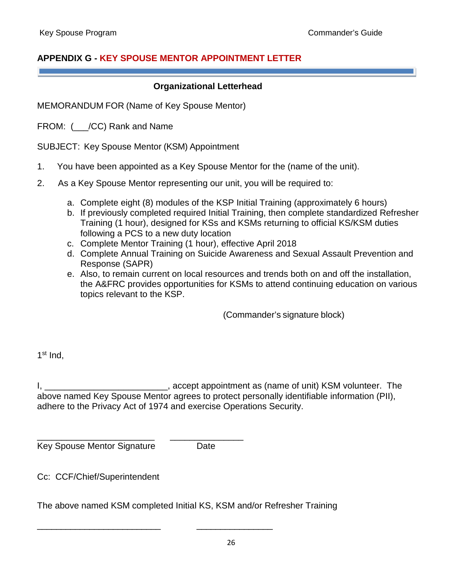## <span id="page-26-0"></span>**APPENDIX G - KEY SPOUSE MENTOR APPOINTMENT LETTER**

## **Organizational Letterhead**

MEMORANDUM FOR (Name of Key Spouse Mentor)

FROM:  $($  /CC) Rank and Name

SUBJECT: Key Spouse Mentor (KSM) Appointment

- 1. You have been appointed as a Key Spouse Mentor for the (name of the unit).
- 2. As a Key Spouse Mentor representing our unit, you will be required to:
	- a. Complete eight (8) modules of the KSP Initial Training (approximately 6 hours)
	- b. If previously completed required Initial Training, then complete standardized Refresher Training (1 hour), designed for KSs and KSMs returning to official KS/KSM duties following a PCS to a new duty location
	- c. Complete Mentor Training (1 hour), effective April 2018
	- d. Complete Annual Training on Suicide Awareness and Sexual Assault Prevention and Response (SAPR)
	- e. Also, to remain current on local resources and trends both on and off the installation, the A&FRC provides opportunities for KSMs to attend continuing education on various topics relevant to the KSP.

(Commander's signature block)

 $1<sup>st</sup>$  Ind.

I, Let a subset a subset appointment as (name of unit) KSM volunteer. The above named Key Spouse Mentor agrees to protect personally identifiable information (PII), adhere to the Privacy Act of 1974 and exercise Operations Security.

\_\_\_\_\_\_\_\_\_\_\_\_\_\_\_\_\_\_\_\_\_\_\_\_ \_\_\_\_\_\_\_\_\_\_\_\_\_\_\_ Key Spouse Mentor Signature Date

Cc: CCF/Chief/Superintendent

The above named KSM completed Initial KS, KSM and/or Refresher Training

\_\_\_\_\_\_\_\_\_\_\_\_\_\_\_\_\_\_\_\_\_\_\_\_\_\_ \_\_\_\_\_\_\_\_\_\_\_\_\_\_\_\_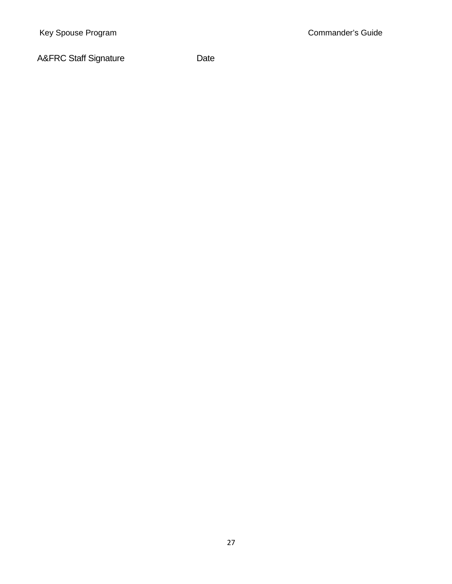A&FRC Staff Signature Date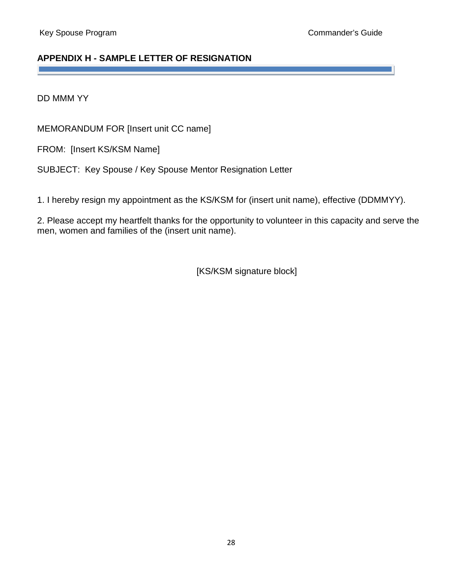## <span id="page-28-0"></span>**APPENDIX H - SAMPLE LETTER OF RESIGNATION**

DD MMM YY

Ĩ

MEMORANDUM FOR [Insert unit CC name]

FROM: [Insert KS/KSM Name]

SUBJECT: Key Spouse / Key Spouse Mentor Resignation Letter

1. I hereby resign my appointment as the KS/KSM for (insert unit name), effective (DDMMYY).

2. Please accept my heartfelt thanks for the opportunity to volunteer in this capacity and serve the men, women and families of the (insert unit name).

[KS/KSM signature block]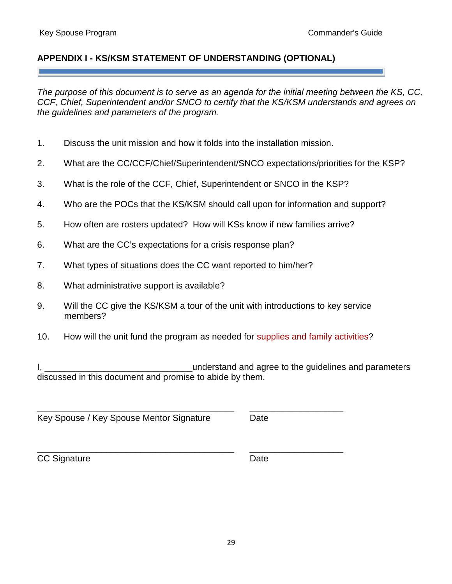## <span id="page-29-0"></span>**APPENDIX I - KS/KSM STATEMENT OF UNDERSTANDING (OPTIONAL)**

*The purpose of this document is to serve as an agenda for the initial meeting between the KS, CC, CCF, Chief, Superintendent and/or SNCO to certify that the KS/KSM understands and agrees on the guidelines and parameters of the program.* 

- 1. Discuss the unit mission and how it folds into the installation mission.
- 2. What are the CC/CCF/Chief/Superintendent/SNCO expectations/priorities for the KSP?
- 3. What is the role of the CCF, Chief, Superintendent or SNCO in the KSP?
- 4. Who are the POCs that the KS/KSM should call upon for information and support?
- 5. How often are rosters updated? How will KSs know if new families arrive?
- 6. What are the CC's expectations for a crisis response plan?
- 7. What types of situations does the CC want reported to him/her?
- 8. What administrative support is available?
- 9. Will the CC give the KS/KSM a tour of the unit with introductions to key service members?
- 10. How will the unit fund the program as needed for supplies and family activities?

I, \_\_\_\_\_\_\_\_\_\_\_\_\_\_\_\_\_\_\_\_\_\_\_\_\_\_\_\_\_\_understand and agree to the guidelines and parameters discussed in this document and promise to abide by them.

\_\_\_\_\_\_\_\_\_\_\_\_\_\_\_\_\_\_\_\_\_\_\_\_\_\_\_\_\_\_\_\_\_\_\_\_\_\_\_\_ \_\_\_\_\_\_\_\_\_\_\_\_\_\_\_\_\_\_\_ Key Spouse / Key Spouse Mentor Signature Date

\_\_\_\_\_\_\_\_\_\_\_\_\_\_\_\_\_\_\_\_\_\_\_\_\_\_\_\_\_\_\_\_\_\_\_\_\_\_\_\_ \_\_\_\_\_\_\_\_\_\_\_\_\_\_\_\_\_\_\_ CC Signature Date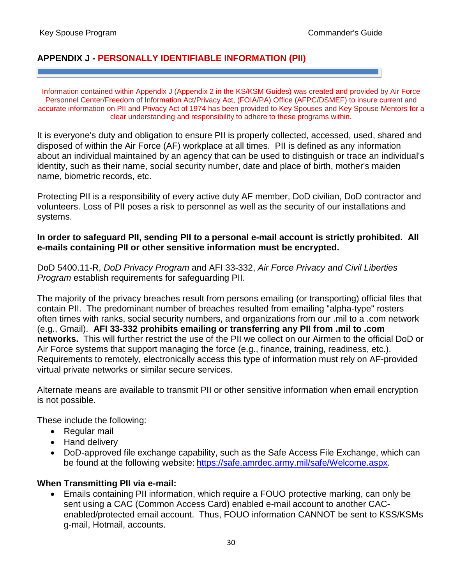## <span id="page-30-0"></span>**APPENDIX J - PERSONALLY IDENTIFIABLE INFORMATION (PII)**

Information contained within Appendix J (Appendix 2 in the KS/KSM Guides) was created and provided by Air Force Personnel Center/Freedom of Information Act/Privacy Act, (FOIA/PA) Office (AFPC/DSMEF) to insure current and accurate information on PII and Privacy Act of 1974 has been provided to Key Spouses and Key Spouse Mentors for a clear understanding and responsibility to adhere to these programs within.

It is everyone's duty and obligation to ensure PII is properly collected, accessed, used, shared and disposed of within the Air Force (AF) workplace at all times. PII is defined as any information about an individual maintained by an agency that can be used to distinguish or trace an individual's identity, such as their name, social security number, date and place of birth, mother's maiden name, biometric records, etc.

Protecting PII is a responsibility of every active duty AF member, DoD civilian, DoD contractor and volunteers. Loss of PII poses a risk to personnel as well as the security of our installations and systems.

#### **In order to safeguard PII, sending PII to a personal e-mail account is strictly prohibited. All e-mails containing PII or other sensitive information must be encrypted.**

DoD 5400.11-R, *DoD Privacy Program* and AFI 33-332, *Air Force Privacy and Civil Liberties Program* establish requirements for safeguarding PII.

The majority of the privacy breaches result from persons emailing (or transporting) official files that contain PII. The predominant number of breaches resulted from emailing "alpha-type" rosters often times with ranks, social security numbers, and organizations from our .mil to a .com network (e.g., Gmail). **AFI 33-332 prohibits emailing or transferring any PII from .mil to .com networks.** This will further restrict the use of the PII we collect on our Airmen to the official DoD or Air Force systems that support managing the force (e.g., finance, training, readiness, etc.). Requirements to remotely, electronically access this type of information must rely on AF-provided virtual private networks or similar secure services.

Alternate means are available to transmit PII or other sensitive information when email encryption is not possible.

These include the following:

- Regular mail
- Hand delivery
- DoD-approved file exchange capability, such as the Safe Access File Exchange, which can be found at the following website: [https://safe.amrdec.army.mil/safe/Welcome.aspx.](https://safe.amrdec.army.mil/safe/Welcome.aspx)

## **When Transmitting PII via e-mail:**

• Emails containing PII information, which require a FOUO protective marking, can only be sent using a CAC (Common Access Card) enabled e-mail account to another CACenabled/protected email account. Thus, FOUO information CANNOT be sent to KSS/KSMs g-mail, Hotmail, accounts.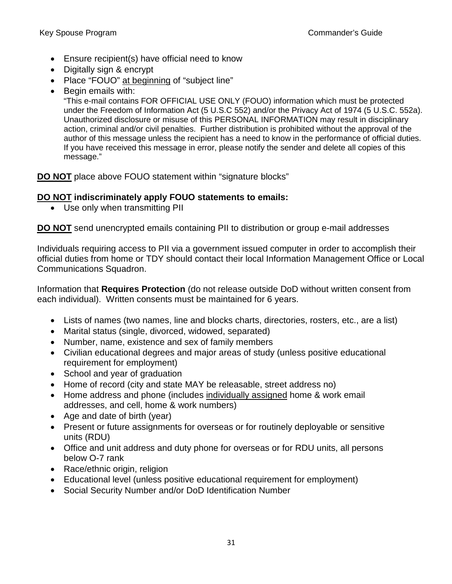- Ensure recipient(s) have official need to know
- Digitally sign & encrypt
- Place "FOUO" at beginning of "subject line"
- Begin emails with:

"This e-mail contains FOR OFFICIAL USE ONLY (FOUO) information which must be protected under the Freedom of Information Act (5 U.S.C 552) and/or the Privacy Act of 1974 (5 U.S.C. 552a). Unauthorized disclosure or misuse of this PERSONAL INFORMATION may result in disciplinary action, criminal and/or civil penalties. Further distribution is prohibited without the approval of the author of this message unless the recipient has a need to know in the performance of official duties. If you have received this message in error, please notify the sender and delete all copies of this message."

**DO NOT** place above FOUO statement within "signature blocks"

## **DO NOT indiscriminately apply FOUO statements to emails:**

• Use only when transmitting PII

**DO NOT** send unencrypted emails containing PII to distribution or group e-mail addresses

Individuals requiring access to PII via a government issued computer in order to accomplish their official duties from home or TDY should contact their local Information Management Office or Local Communications Squadron.

Information that **Requires Protection** (do not release outside DoD without written consent from each individual). Written consents must be maintained for 6 years.

- Lists of names (two names, line and blocks charts, directories, rosters, etc., are a list)
- Marital status (single, divorced, widowed, separated)
- Number, name, existence and sex of family members
- Civilian educational degrees and major areas of study (unless positive educational requirement for employment)
- School and year of graduation
- Home of record (city and state MAY be releasable, street address no)
- Home address and phone (includes individually assigned home & work email addresses, and cell, home & work numbers)
- Age and date of birth (year)
- Present or future assignments for overseas or for routinely deployable or sensitive units (RDU)
- Office and unit address and duty phone for overseas or for RDU units, all persons below O-7 rank
- Race/ethnic origin, religion
- Educational level (unless positive educational requirement for employment)
- Social Security Number and/or DoD Identification Number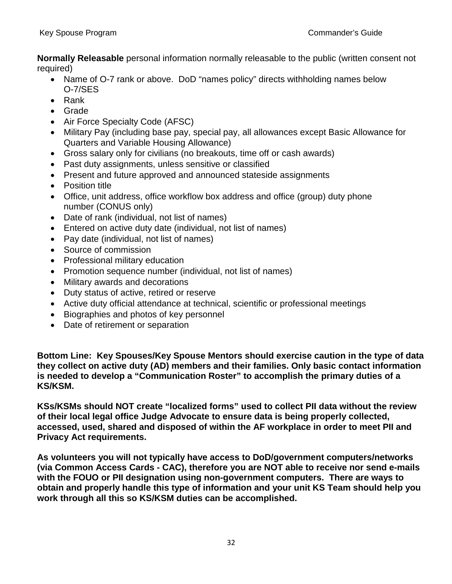**Normally Releasable** personal information normally releasable to the public (written consent not required)

- Name of O-7 rank or above. DoD "names policy" directs withholding names below O-7/SES
- Rank
- Grade
- Air Force Specialty Code (AFSC)
- Military Pay (including base pay, special pay, all allowances except Basic Allowance for Quarters and Variable Housing Allowance)
- Gross salary only for civilians (no breakouts, time off or cash awards)
- Past duty assignments, unless sensitive or classified
- Present and future approved and announced stateside assignments
- Position title
- Office, unit address, office workflow box address and office (group) duty phone number (CONUS only)
- Date of rank (individual, not list of names)
- Entered on active duty date (individual, not list of names)
- Pay date (individual, not list of names)
- Source of commission
- Professional military education
- Promotion sequence number (individual, not list of names)
- Military awards and decorations
- Duty status of active, retired or reserve
- Active duty official attendance at technical, scientific or professional meetings
- Biographies and photos of key personnel
- Date of retirement or separation

**Bottom Line: Key Spouses/Key Spouse Mentors should exercise caution in the type of data they collect on active duty (AD) members and their families. Only basic contact information is needed to develop a "Communication Roster" to accomplish the primary duties of a KS/KSM.** 

**KSs/KSMs should NOT create "localized forms" used to collect PII data without the review of their local legal office Judge Advocate to ensure data is being properly collected, accessed, used, shared and disposed of within the AF workplace in order to meet PII and Privacy Act requirements.** 

**As volunteers you will not typically have access to DoD/government computers/networks (via Common Access Cards - CAC), therefore you are NOT able to receive nor send e-mails with the FOUO or PII designation using non-government computers. There are ways to obtain and properly handle this type of information and your unit KS Team should help you work through all this so KS/KSM duties can be accomplished.**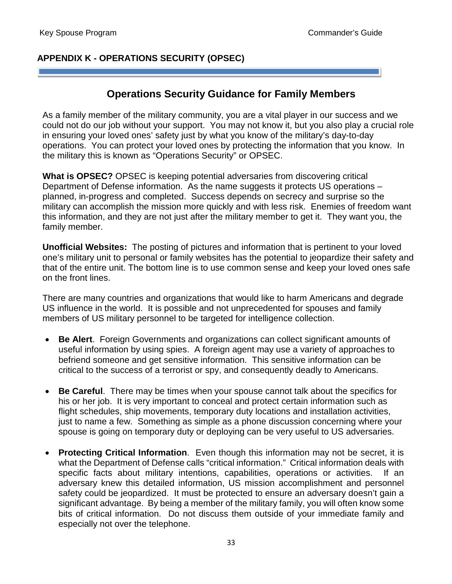## <span id="page-33-0"></span>**APPENDIX K - OPERATIONS SECURITY (OPSEC)**

## **Operations Security Guidance for Family Members**

As a family member of the military community, you are a vital player in our success and we could not do our job without your support. You may not know it, but you also play a crucial role in ensuring your loved ones' safety just by what you know of the military's day-to-day operations. You can protect your loved ones by protecting the information that you know. In the military this is known as "Operations Security" or OPSEC.

**What is OPSEC?** OPSEC is keeping potential adversaries from discovering critical Department of Defense information. As the name suggests it protects US operations – planned, in-progress and completed. Success depends on secrecy and surprise so the military can accomplish the mission more quickly and with less risk. Enemies of freedom want this information, and they are not just after the military member to get it. They want you, the family member.

**Unofficial Websites:** The posting of pictures and information that is pertinent to your loved one's military unit to personal or family websites has the potential to jeopardize their safety and that of the entire unit. The bottom line is to use common sense and keep your loved ones safe on the front lines.

There are many countries and organizations that would like to harm Americans and degrade US influence in the world. It is possible and not unprecedented for spouses and family members of US military personnel to be targeted for intelligence collection.

- **Be Alert**. Foreign Governments and organizations can collect significant amounts of useful information by using spies. A foreign agent may use a variety of approaches to befriend someone and get sensitive information. This sensitive information can be critical to the success of a terrorist or spy, and consequently deadly to Americans.
- **Be Careful**. There may be times when your spouse cannot talk about the specifics for his or her job. It is very important to conceal and protect certain information such as flight schedules, ship movements, temporary duty locations and installation activities, just to name a few. Something as simple as a phone discussion concerning where your spouse is going on temporary duty or deploying can be very useful to US adversaries.
- **Protecting Critical Information**. Even though this information may not be secret, it is what the Department of Defense calls "critical information." Critical information deals with specific facts about military intentions, capabilities, operations or activities. If an adversary knew this detailed information, US mission accomplishment and personnel safety could be jeopardized. It must be protected to ensure an adversary doesn't gain a significant advantage. By being a member of the military family, you will often know some bits of critical information. Do not discuss them outside of your immediate family and especially not over the telephone.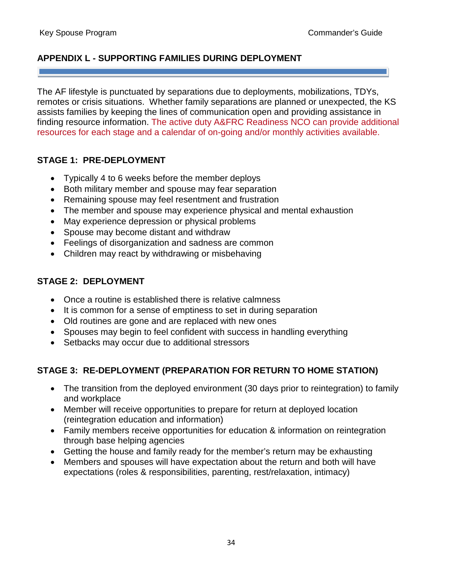## <span id="page-34-0"></span>**APPENDIX L - SUPPORTING FAMILIES DURING DEPLOYMENT**

The AF lifestyle is punctuated by separations due to deployments, mobilizations, TDYs, remotes or crisis situations. Whether family separations are planned or unexpected, the KS assists families by keeping the lines of communication open and providing assistance in finding resource information. The active duty A&FRC Readiness NCO can provide additional resources for each stage and a calendar of on-going and/or monthly activities available.

## **STAGE 1: PRE-DEPLOYMENT**

- Typically 4 to 6 weeks before the member deploys
- Both military member and spouse may fear separation
- Remaining spouse may feel resentment and frustration
- The member and spouse may experience physical and mental exhaustion
- May experience depression or physical problems
- Spouse may become distant and withdraw
- Feelings of disorganization and sadness are common
- Children may react by withdrawing or misbehaving

## **STAGE 2: DEPLOYMENT**

- Once a routine is established there is relative calmness
- It is common for a sense of emptiness to set in during separation
- Old routines are gone and are replaced with new ones
- Spouses may begin to feel confident with success in handling everything
- Setbacks may occur due to additional stressors

## **STAGE 3: RE-DEPLOYMENT (PREPARATION FOR RETURN TO HOME STATION)**

- The transition from the deployed environment (30 days prior to reintegration) to family and workplace
- Member will receive opportunities to prepare for return at deployed location (reintegration education and information)
- Family members receive opportunities for education & information on reintegration through base helping agencies
- Getting the house and family ready for the member's return may be exhausting
- Members and spouses will have expectation about the return and both will have expectations (roles & responsibilities, parenting, rest/relaxation, intimacy)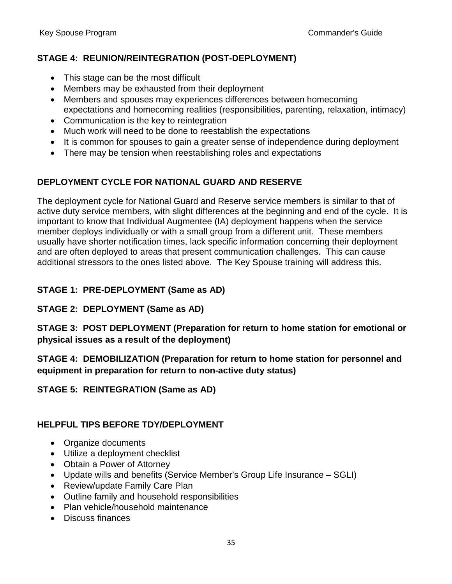## **STAGE 4: REUNION/REINTEGRATION (POST-DEPLOYMENT)**

- This stage can be the most difficult
- Members may be exhausted from their deployment
- Members and spouses may experiences differences between homecoming expectations and homecoming realities (responsibilities, parenting, relaxation, intimacy)
- Communication is the key to reintegration
- Much work will need to be done to reestablish the expectations
- It is common for spouses to gain a greater sense of independence during deployment
- There may be tension when reestablishing roles and expectations

## **DEPLOYMENT CYCLE FOR NATIONAL GUARD AND RESERVE**

The deployment cycle for National Guard and Reserve service members is similar to that of active duty service members, with slight differences at the beginning and end of the cycle. It is important to know that Individual Augmentee (IA) deployment happens when the service member deploys individually or with a small group from a different unit. These members usually have shorter notification times, lack specific information concerning their deployment and are often deployed to areas that present communication challenges. This can cause additional stressors to the ones listed above. The Key Spouse training will address this.

## **STAGE 1: PRE-DEPLOYMENT (Same as AD)**

## **STAGE 2: DEPLOYMENT (Same as AD)**

**STAGE 3: POST DEPLOYMENT (Preparation for return to home station for emotional or physical issues as a result of the deployment)**

**STAGE 4: DEMOBILIZATION (Preparation for return to home station for personnel and equipment in preparation for return to non-active duty status)**

**STAGE 5: REINTEGRATION (Same as AD)**

## **HELPFUL TIPS BEFORE TDY/DEPLOYMENT**

- Organize documents
- Utilize a deployment checklist
- Obtain a Power of Attorney
- Update wills and benefits (Service Member's Group Life Insurance SGLI)
- Review/update Family Care Plan
- Outline family and household responsibilities
- Plan vehicle/household maintenance
- Discuss finances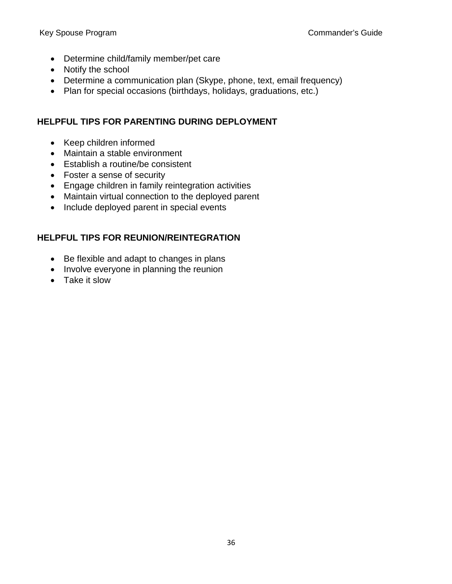- Determine child/family member/pet care
- Notify the school
- Determine a communication plan (Skype, phone, text, email frequency)
- Plan for special occasions (birthdays, holidays, graduations, etc.)

## **HELPFUL TIPS FOR PARENTING DURING DEPLOYMENT**

- Keep children informed
- Maintain a stable environment
- Establish a routine/be consistent
- Foster a sense of security
- Engage children in family reintegration activities
- Maintain virtual connection to the deployed parent
- Include deployed parent in special events

## **HELPFUL TIPS FOR REUNION/REINTEGRATION**

- Be flexible and adapt to changes in plans
- Involve everyone in planning the reunion
- Take it slow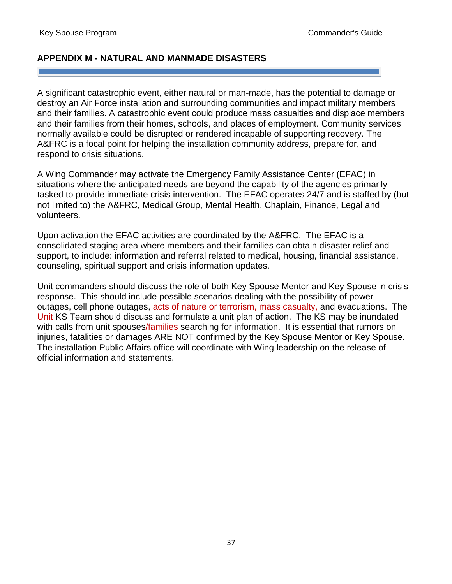## <span id="page-37-0"></span>**APPENDIX M - NATURAL AND MANMADE DISASTERS**

A significant catastrophic event, either natural or man-made, has the potential to damage or destroy an Air Force installation and surrounding communities and impact military members and their families. A catastrophic event could produce mass casualties and displace members and their families from their homes, schools, and places of employment. Community services normally available could be disrupted or rendered incapable of supporting recovery. The A&FRC is a focal point for helping the installation community address, prepare for, and respond to crisis situations.

A Wing Commander may activate the Emergency Family Assistance Center (EFAC) in situations where the anticipated needs are beyond the capability of the agencies primarily tasked to provide immediate crisis intervention. The EFAC operates 24/7 and is staffed by (but not limited to) the A&FRC, Medical Group, Mental Health, Chaplain, Finance, Legal and volunteers.

Upon activation the EFAC activities are coordinated by the A&FRC. The EFAC is a consolidated staging area where members and their families can obtain disaster relief and support, to include: information and referral related to medical, housing, financial assistance, counseling, spiritual support and crisis information updates.

Unit commanders should discuss the role of both Key Spouse Mentor and Key Spouse in crisis response. This should include possible scenarios dealing with the possibility of power outages, cell phone outages, acts of nature or terrorism, mass casualty, and evacuations. The Unit KS Team should discuss and formulate a unit plan of action. The KS may be inundated with calls from unit spouses/families searching for information. It is essential that rumors on injuries, fatalities or damages ARE NOT confirmed by the Key Spouse Mentor or Key Spouse. The installation Public Affairs office will coordinate with Wing leadership on the release of official information and statements.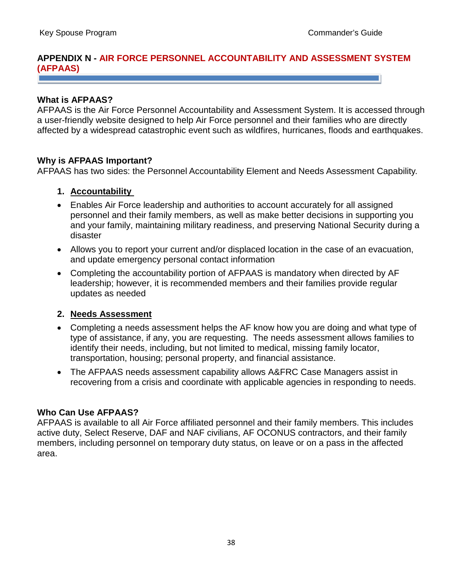## <span id="page-38-0"></span>**APPENDIX N - AIR FORCE PERSONNEL ACCOUNTABILITY AND ASSESSMENT SYSTEM (AFPAAS)**

## **What is AFPAAS?**

AFPAAS is the Air Force Personnel Accountability and Assessment System. It is accessed through a user-friendly website designed to help Air Force personnel and their families who are directly affected by a widespread catastrophic event such as wildfires, hurricanes, floods and earthquakes.

## **Why is AFPAAS Important?**

AFPAAS has two sides: the Personnel Accountability Element and Needs Assessment Capability.

## **1. Accountability**

- Enables Air Force leadership and authorities to account accurately for all assigned personnel and their family members, as well as make better decisions in supporting you and your family, maintaining military readiness, and preserving National Security during a disaster
- Allows you to report your current and/or displaced location in the case of an evacuation, and update emergency personal contact information
- Completing the accountability portion of AFPAAS is mandatory when directed by AF leadership; however, it is recommended members and their families provide regular updates as needed

#### **2. Needs Assessment**

- Completing a needs assessment helps the AF know how you are doing and what type of type of assistance, if any, you are requesting. The needs assessment allows families to identify their needs, including, but not limited to medical, missing family locator, transportation, housing; personal property, and financial assistance.
- The AFPAAS needs assessment capability allows A&FRC Case Managers assist in recovering from a crisis and coordinate with applicable agencies in responding to needs.

#### **Who Can Use AFPAAS?**

AFPAAS is available to all Air Force affiliated personnel and their family members. This includes active duty, Select Reserve, DAF and NAF civilians, AF OCONUS contractors, and their family members, including personnel on temporary duty status, on leave or on a pass in the affected area.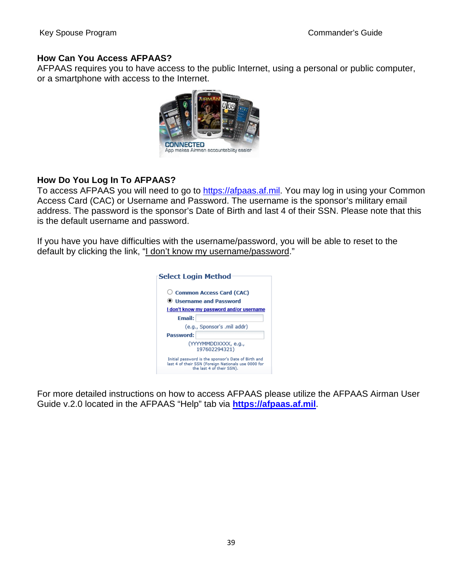#### **How Can You Access AFPAAS?**

AFPAAS requires you to have access to the public Internet, using a personal or public computer, or a smartphone with access to the Internet.



## **How Do You Log In To AFPAAS?**

To access AFPAAS you will need to go to [https://afpaas.af.mil.](https://afpaas.af.mil/) You may log in using your Common Access Card (CAC) or Username and Password. The username is the sponsor's military email address. The password is the sponsor's Date of Birth and last 4 of their SSN. Please note that this is the default username and password.

If you have you have difficulties with the username/password, you will be able to reset to the default by clicking the link, "I don't know my username/password."

| <b>Select Login Method</b>                                                                                                              |
|-----------------------------------------------------------------------------------------------------------------------------------------|
| $\circlearrowright$ Common Access Card (CAC)<br>Isername and Password                                                                   |
| I don't know my password and/or username                                                                                                |
| Email:                                                                                                                                  |
| (e.g., Sponsor's .mil addr)                                                                                                             |
| Password:                                                                                                                               |
| (YYYYMMDDXXXX, e.g.,<br>197602294321)                                                                                                   |
| Initial password is the sponsor's Date of Birth and<br>last 4 of their SSN (Foreign Nationals use 0000 for<br>the last 4 of their SSN). |

For more detailed instructions on how to access AFPAAS please utilize the AFPAAS Airman User Guide v.2.0 located in the AFPAAS "Help" tab via **[https://afpaas.af.mil](https://afpaas.af.mil/)**.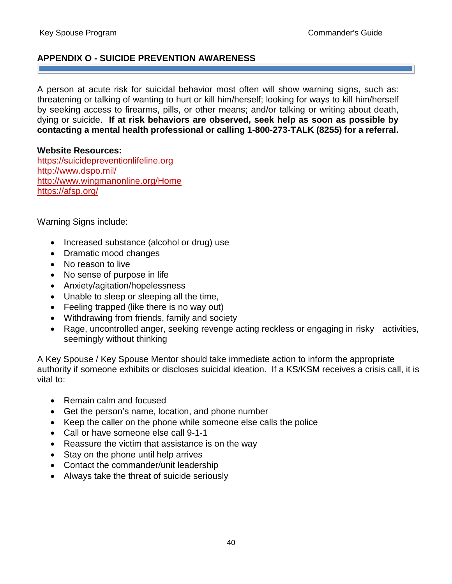## <span id="page-40-0"></span>**APPENDIX O - SUICIDE PREVENTION AWARENESS**

A person at acute risk for suicidal behavior most often will show warning signs, such as: threatening or talking of wanting to hurt or kill him/herself; looking for ways to kill him/herself by seeking access to firearms, pills, or other means; and/or talking or writing about death, dying or suicide. **If at risk behaviors are observed, seek help as soon as possible by contacting a mental health professional or calling 1-800-273-TALK (8255) for a referral.**

#### **Website Resources:**

[https://suicidepreventionlifeline.org](https://suicidepreventionlifeline.org/) <http://www.dspo.mil/> <http://www.wingmanonline.org/Home> <https://afsp.org/>

Warning Signs include:

- Increased substance (alcohol or drug) use
- Dramatic mood changes
- No reason to live
- No sense of purpose in life
- Anxiety/agitation/hopelessness
- Unable to sleep or sleeping all the time,
- Feeling trapped (like there is no way out)
- Withdrawing from friends, family and society
- Rage, uncontrolled anger, seeking revenge acting reckless or engaging in risky activities, seemingly without thinking

A Key Spouse / Key Spouse Mentor should take immediate action to inform the appropriate authority if someone exhibits or discloses suicidal ideation. If a KS/KSM receives a crisis call, it is vital to:

- Remain calm and focused
- Get the person's name, location, and phone number
- Keep the caller on the phone while someone else calls the police
- Call or have someone else call 9-1-1
- Reassure the victim that assistance is on the way
- Stay on the phone until help arrives
- Contact the commander/unit leadership
- Always take the threat of suicide seriously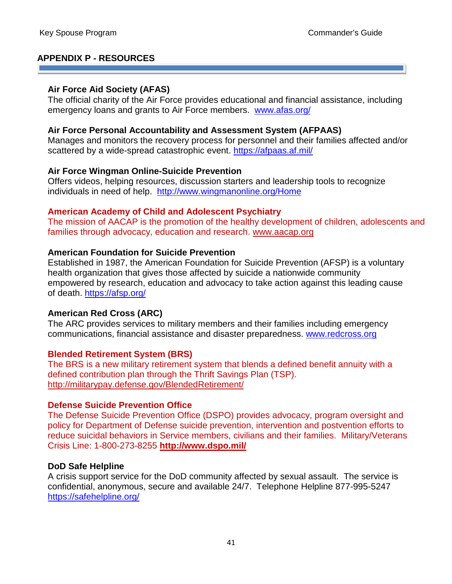## <span id="page-41-0"></span>**APPENDIX P - RESOURCES**

#### **Air Force Aid Society (AFAS)**

The official charity of the Air Force provides educational and financial assistance, including emergency loans and grants to Air Force members. [www.afas.org/](http://www.afas.org/)

#### **Air Force Personal Accountability and Assessment System (AFPAAS)**

Manages and monitors the recovery process for personnel and their families affected and/or scattered by a wide-spread catastrophic event.<https://afpaas.af.mil/>

#### **Air Force Wingman Online-Suicide Prevention**

Offers videos, helping resources, discussion starters and leadership tools to recognize individuals in need of help. <http://www.wingmanonline.org/Home>

#### **American Academy of Child and Adolescent Psychiatry**

The mission of AACAP is the promotion of the healthy development of children, adolescents and families through advocacy, education and research. [www.aacap.org](http://www.aacap.org/)

#### **American Foundation for Suicide Prevention**

Established in 1987, the American Foundation for Suicide Prevention (AFSP) is a voluntary health organization that gives those affected by suicide a nationwide community empowered by research, education and advocacy to take action against this leading cause of death.<https://afsp.org/>

#### **American Red Cross (ARC)**

The ARC provides services to military members and their families including emergency communications, financial assistance and disaster preparedness. [www.redcross.org](http://www.redcross.org/)

#### **Blended Retirement System (BRS)**

The BRS is a new military retirement system that blends a defined benefit annuity with a defined contribution plan through the Thrift Savings Plan (TSP). <http://militarypay.defense.gov/BlendedRetirement/>

#### **Defense Suicide Prevention Office**

The Defense Suicide Prevention Office (DSPO) provides advocacy, program oversight and policy for Department of Defense suicide prevention, intervention and postvention efforts to reduce suicidal behaviors in Service members, civilians and their families. Military/Veterans Crisis Line: 1-800-273-8255 **<http://www.dspo.mil/>**

#### **DoD Safe Helpline**

A crisis support service for the DoD community affected by sexual assault. The service is confidential, anonymous, secure and available 24/7. Telephone Helpline 877-995-5247 <https://safehelpline.org/>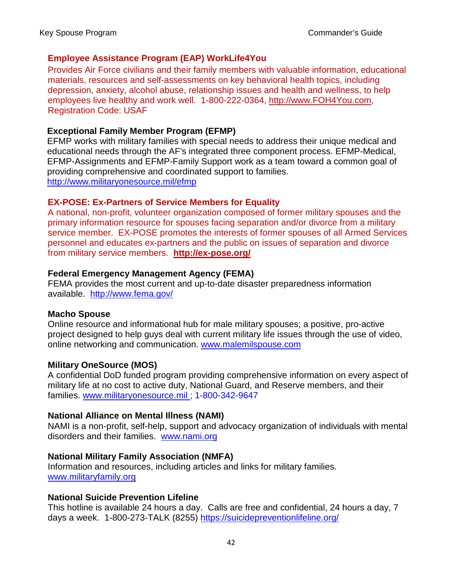## **Employee Assistance Program (EAP) WorkLife4You**

Provides Air Force civilians and their family members with valuable information, educational materials, resources and self-assessments on key behavioral health topics, including depression, anxiety, alcohol abuse, relationship issues and health and wellness, to help employees live healthy and work well. 1-800-222-0364, [http://www.FOH4You.com,](http://www.foh4you.com/) Registration Code: USAF

#### **Exceptional Family Member Program (EFMP)**

EFMP works with military families with special needs to address their unique medical and educational needs through the AF's integrated three component process. EFMP-Medical, EFMP-Assignments and EFMP-Family Support work as a team toward a common goal of providing comprehensive and coordinated support to families. <http://www.militaryonesource.mil/efmp>

#### **EX-POSE: Ex-Partners of Service Members for Equality**

A national, non-profit, volunteer organization composed of former military spouses and the primary information resource for spouses facing separation and/or divorce from a military service member. EX-POSE promotes the interests of former spouses of all Armed Services personnel and educates ex-partners and the public on issues of separation and divorce from military service members. **<http://ex-pose.org/>**

## **Federal Emergency Management Agency (FEMA)**

FEMA provides the most current and up-to-date disaster preparedness information available. <http://www.fema.gov/>

#### **Macho Spouse**

Online resource and informational hub for male military spouses; a positive, pro-active project designed to help guys deal with current military life issues through the use of video, online networking and communication. [www.malemilspouse.com](http://www.malemilspouse.com/)

## **Military OneSource (MOS)**

A confidential DoD funded program providing comprehensive information on every aspect of military life at no cost to active duty, National Guard, and Reserve members, and their families. [www.militaryonesource.mil](http://www.militaryonesource.mil/) ; 1-800-342-9647

#### **National Alliance on Mental Illness (NAMI)**

NAMI is a non-profit, self-help, support and advocacy organization of individuals with mental disorders and their families. [www.nami.org](http://www.nami.org/)

#### **National Military Family Association (NMFA)**

Information and resources, including articles and links for military families. [www.militaryfamily.org](http://www.militaryfamily.org/)

#### **National Suicide Prevention Lifeline**

This hotline is available 24 hours a day. Calls are free and confidential, 24 hours a day, 7 days a week. 1-800-273-TALK (8255)<https://suicidepreventionlifeline.org/>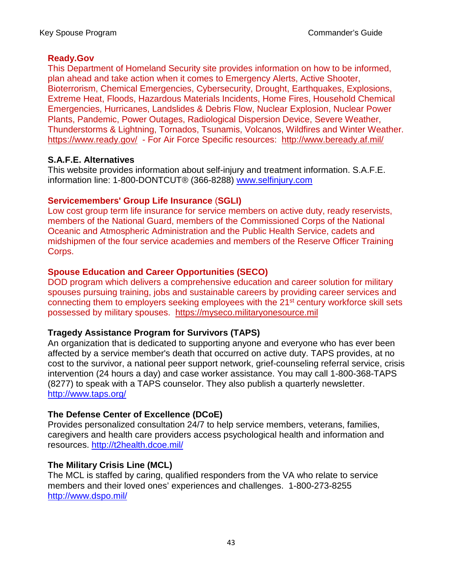## **Ready.Gov**

This Department of Homeland Security site provides information on how to be informed, plan ahead and take action when it comes to Emergency Alerts, Active Shooter, Bioterrorism, Chemical Emergencies, Cybersecurity, Drought, Earthquakes, Explosions, Extreme Heat, Floods, Hazardous Materials Incidents, Home Fires, Household Chemical Emergencies, Hurricanes, Landslides & Debris Flow, Nuclear Explosion, Nuclear Power Plants, Pandemic, Power Outages, Radiological Dispersion Device, Severe Weather, Thunderstorms & Lightning, Tornados, Tsunamis, Volcanos, Wildfires and Winter Weather. <https://www.ready.gov/>- For Air Force Specific resources: <http://www.beready.af.mil/>

## **S.A.F.E. Alternatives**

This website provides information about self-injury and treatment information. S.A.F.E. information line: 1-800-DONTCUT® (366-8288) [www.selfinjury.com](http://www.selfinjury.com/)

## **Servicemembers' Group Life Insurance** (**SGLI)**

Low cost group term life insurance for service members on active duty, ready reservists, members of the National Guard, members of the Commissioned Corps of the National Oceanic and Atmospheric Administration and the Public Health Service, cadets and midshipmen of the four service academies and members of the Reserve Officer Training Corps.

## **Spouse Education and Career Opportunities (SECO)**

DOD program which delivers a comprehensive education and career solution for military spouses pursuing training, jobs and sustainable careers by providing career services and connecting them to employers seeking employees with the 21<sup>st</sup> century workforce skill sets possessed by military spouses. [https://myseco.militaryonesource.mil](https://myseco.militaryonesource.mil/)

## **Tragedy Assistance Program for Survivors (TAPS)**

An organization that is dedicated to supporting anyone and everyone who has ever been affected by a service member's death that occurred on active duty. TAPS provides, at no cost to the survivor, a national peer support network, grief-counseling referral service, crisis intervention (24 hours a day) and case worker assistance. You may call 1-800-368-TAPS (8277) to speak with a TAPS counselor. They also publish a quarterly newsletter. <http://www.taps.org/>

## **The Defense Center of Excellence (DCoE)**

Provides personalized consultation 24/7 to help service members, veterans, families, caregivers and health care providers access psychological health and information and resources.<http://t2health.dcoe.mil/>

## **The Military Crisis Line (MCL)**

The MCL is staffed by caring, qualified responders from the VA who relate to service members and their loved ones' experiences and challenges. 1-800-273-8255 <http://www.dspo.mil/>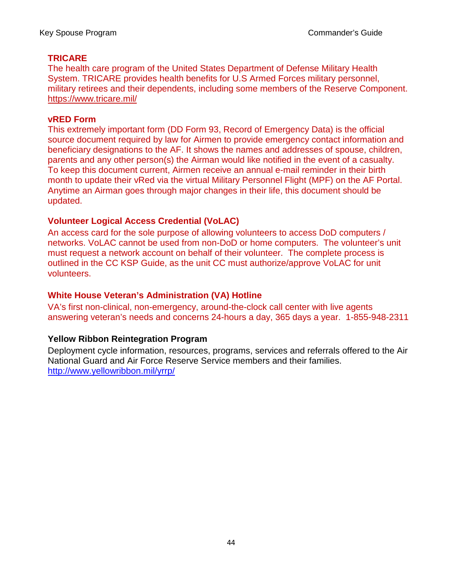## **TRICARE**

The health care program of the United States Department of Defense Military Health System. TRICARE provides health benefits for U.S Armed Forces military personnel, military retirees and their dependents, including some members of the Reserve Component. <https://www.tricare.mil/>

#### **vRED Form**

This extremely important form (DD Form 93, Record of Emergency Data) is the official source document required by law for Airmen to provide emergency contact information and beneficiary designations to the AF. It shows the names and addresses of spouse, children, parents and any other person(s) the Airman would like notified in the event of a casualty. To keep this document current, Airmen receive an annual e-mail reminder in their birth month to update their vRed via the virtual Military Personnel Flight (MPF) on the AF Portal. Anytime an Airman goes through major changes in their life, this document should be updated.

## **Volunteer Logical Access Credential (VoLAC)**

An access card for the sole purpose of allowing volunteers to access DoD computers / networks. VoLAC cannot be used from non-DoD or home computers. The volunteer's unit must request a network account on behalf of their volunteer. The complete process is outlined in the CC KSP Guide, as the unit CC must authorize/approve VoLAC for unit volunteers.

## **White House Veteran's Administration (VA) Hotline**

VA's first non-clinical, non-emergency, around-the-clock call center with live agents answering veteran's needs and concerns 24-hours a day, 365 days a year. 1-855-948-2311

## **Yellow Ribbon Reintegration Program**

Deployment cycle information, resources, programs, services and referrals offered to the Air National Guard and Air Force Reserve Service members and their families. <http://www.yellowribbon.mil/yrrp/>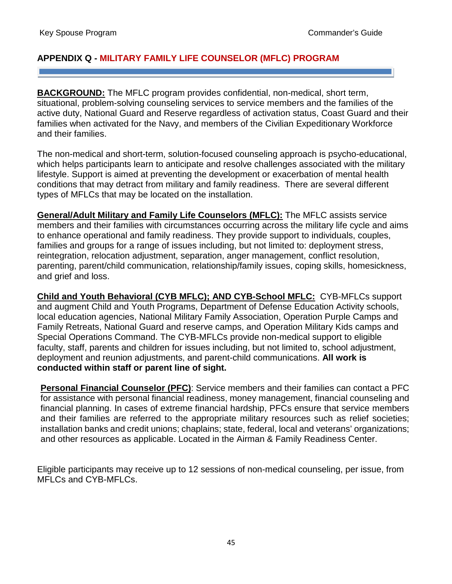## <span id="page-45-0"></span>**APPENDIX Q - MILITARY FAMILY LIFE COUNSELOR (MFLC) PROGRAM**

**BACKGROUND:** The MFLC program provides confidential, non-medical, short term, situational, problem-solving counseling services to service members and the families of the active duty, National Guard and Reserve regardless of activation status, Coast Guard and their families when activated for the Navy, and members of the Civilian Expeditionary Workforce and their families.

The non-medical and short-term, solution-focused counseling approach is psycho-educational, which helps participants learn to anticipate and resolve challenges associated with the military lifestyle. Support is aimed at preventing the development or exacerbation of mental health conditions that may detract from military and family readiness. There are several different types of MFLCs that may be located on the installation.

**General/Adult Military and Family Life Counselors (MFLC):** The MFLC assists service members and their families with circumstances occurring across the military life cycle and aims to enhance operational and family readiness. They provide support to individuals, couples, families and groups for a range of issues including, but not limited to: deployment stress, reintegration, relocation adjustment, separation, anger management, conflict resolution, parenting, parent/child communication, relationship/family issues, coping skills, homesickness, and grief and loss.

**Child and Youth Behavioral (CYB MFLC); AND CYB-School MFLC:** CYB-MFLCs support and augment Child and Youth Programs, Department of Defense Education Activity schools, local education agencies, National Military Family Association, Operation Purple Camps and Family Retreats, National Guard and reserve camps, and Operation Military Kids camps and Special Operations Command. The CYB-MFLCs provide non-medical support to eligible faculty, staff, parents and children for issues including, but not limited to, school adjustment, deployment and reunion adjustments, and parent-child communications. **All work is conducted within staff or parent line of sight.**

**Personal Financial Counselor (PFC)**: Service members and their families can contact a PFC for assistance with personal financial readiness, money management, financial counseling and financial planning. In cases of extreme financial hardship, PFCs ensure that service members and their families are referred to the appropriate military resources such as relief societies; installation banks and credit unions; chaplains; state, federal, local and veterans' organizations; and other resources as applicable. Located in the Airman & Family Readiness Center.

Eligible participants may receive up to 12 sessions of non-medical counseling, per issue, from MFLCs and CYB-MFLCs.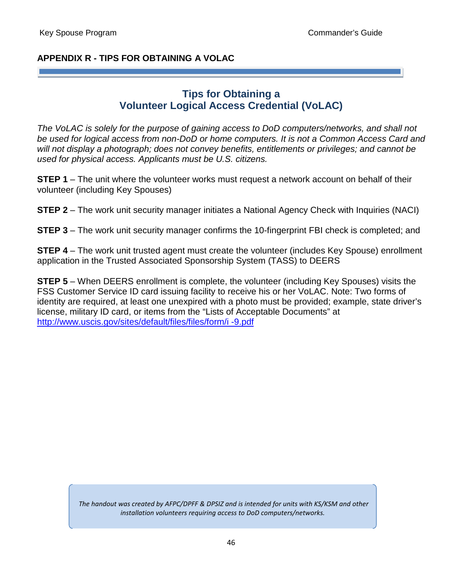## <span id="page-46-0"></span>**APPENDIX R - TIPS FOR OBTAINING A VOLAC**

## **Tips for Obtaining a Volunteer Logical Access Credential (VoLAC)**

*The VoLAC is solely for the purpose of gaining access to DoD computers/networks, and shall not be used for logical access from non-DoD or home computers. It is not a Common Access Card and will not display a photograph; does not convey benefits, entitlements or privileges; and cannot be used for physical access. Applicants must be U.S. citizens.* 

**STEP 1** – The unit where the volunteer works must request a network account on behalf of their volunteer (including Key Spouses)

**STEP 2** – The work unit security manager initiates a National Agency Check with Inquiries (NACI)

**STEP 3** – The work unit security manager confirms the 10-fingerprint FBI check is completed; and

**STEP 4** – The work unit trusted agent must create the volunteer (includes Key Spouse) enrollment application in the Trusted Associated Sponsorship System (TASS) to DEERS

**STEP 5** – When DEERS enrollment is complete, the volunteer (including Key Spouses) visits the FSS Customer Service ID card issuing facility to receive his or her VoLAC. Note: Two forms of identity are required, at least one unexpired with a photo must be provided; example, state driver's license, military ID card, or items from the "Lists of Acceptable Documents" at [http://www.uscis.gov/sites/default/files/files/form/i -9.pdf](http://www.uscis.gov/sites/default/files/files/form/i%20-9.pdf)

> *The handout was created by AFPC/DPFF & DPSIZ and is intended for units with KS/KSM and other installation volunteers requiring access to DoD computers/networks.*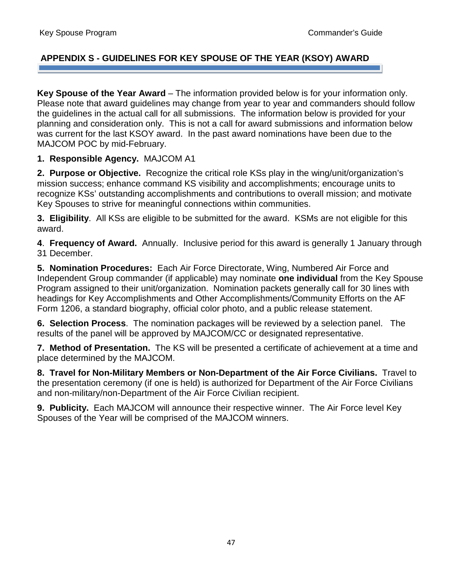## <span id="page-47-0"></span>**APPENDIX S - GUIDELINES FOR KEY SPOUSE OF THE YEAR (KSOY) AWARD**

**Key Spouse of the Year Award** – The information provided below is for your information only. Please note that award guidelines may change from year to year and commanders should follow the guidelines in the actual call for all submissions. The information below is provided for your planning and consideration only. This is not a call for award submissions and information below was current for the last KSOY award. In the past award nominations have been due to the MAJCOM POC by mid-February.

## **1. Responsible Agency.** MAJCOM A1

**2. Purpose or Objective.** Recognize the critical role KSs play in the wing/unit/organization's mission success; enhance command KS visibility and accomplishments; encourage units to recognize KSs' outstanding accomplishments and contributions to overall mission; and motivate Key Spouses to strive for meaningful connections within communities.

**3. Eligibility**. All KSs are eligible to be submitted for the award. KSMs are not eligible for this award.

**4**. **Frequency of Award.** Annually. Inclusive period for this award is generally 1 January through 31 December.

**5. Nomination Procedures:** Each Air Force Directorate, Wing, Numbered Air Force and Independent Group commander (if applicable) may nominate **one individual** from the Key Spouse Program assigned to their unit/organization. Nomination packets generally call for 30 lines with headings for Key Accomplishments and Other Accomplishments/Community Efforts on the AF Form 1206, a standard biography, official color photo, and a public release statement.

**6. Selection Process**. The nomination packages will be reviewed by a selection panel. The results of the panel will be approved by MAJCOM/CC or designated representative.

**7. Method of Presentation.** The KS will be presented a certificate of achievement at a time and place determined by the MAJCOM.

**8. Travel for Non-Military Members or Non-Department of the Air Force Civilians.** Travel to the presentation ceremony (if one is held) is authorized for Department of the Air Force Civilians and non-military/non-Department of the Air Force Civilian recipient.

**9. Publicity.** Each MAJCOM will announce their respective winner. The Air Force level Key Spouses of the Year will be comprised of the MAJCOM winners.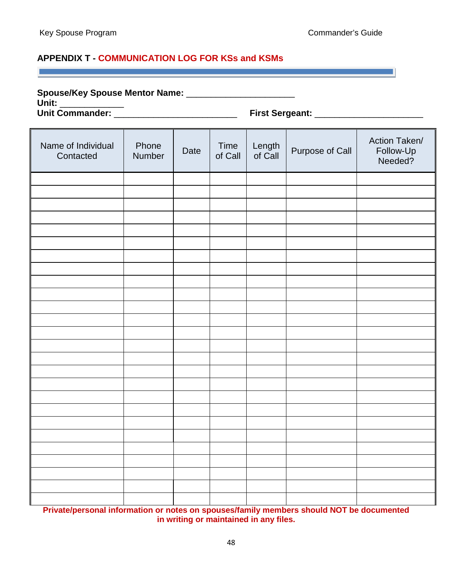## <span id="page-48-0"></span>**APPENDIX T - COMMUNICATION LOG FOR KSs and KSMs**

a sa kacamatan ing Kabupatèn Kabupatèn Kabupatèn Kabupatèn Kabupatèn Kabupatèn Kabupatèn Kabupatèn Kabupatèn K

# **Spouse/Key Spouse Mentor Name:** \_\_\_\_\_\_\_\_\_\_\_\_\_\_\_\_\_\_\_\_\_\_

**Unit:** \_\_\_\_\_\_\_\_\_\_\_\_\_

**Unit Commander:** \_\_\_\_\_\_\_\_\_\_\_\_\_\_\_\_\_\_\_\_\_\_\_\_\_ **First Sergeant:** \_\_\_\_\_\_\_\_\_\_\_\_\_\_\_\_\_\_\_\_\_\_

| Name of Individual<br>Contacted | Phone<br>Number | Date | Time<br>of Call | Length<br>of Call | Purpose of Call | Action Taken/<br>Follow-Up<br>Needed? |
|---------------------------------|-----------------|------|-----------------|-------------------|-----------------|---------------------------------------|
|                                 |                 |      |                 |                   |                 |                                       |
|                                 |                 |      |                 |                   |                 |                                       |
|                                 |                 |      |                 |                   |                 |                                       |
|                                 |                 |      |                 |                   |                 |                                       |
|                                 |                 |      |                 |                   |                 |                                       |
|                                 |                 |      |                 |                   |                 |                                       |
|                                 |                 |      |                 |                   |                 |                                       |
|                                 |                 |      |                 |                   |                 |                                       |
|                                 |                 |      |                 |                   |                 |                                       |
|                                 |                 |      |                 |                   |                 |                                       |
|                                 |                 |      |                 |                   |                 |                                       |
|                                 |                 |      |                 |                   |                 |                                       |
|                                 |                 |      |                 |                   |                 |                                       |
|                                 |                 |      |                 |                   |                 |                                       |
|                                 |                 |      |                 |                   |                 |                                       |
|                                 |                 |      |                 |                   |                 |                                       |
|                                 |                 |      |                 |                   |                 |                                       |
|                                 |                 |      |                 |                   |                 |                                       |
|                                 |                 |      |                 |                   |                 |                                       |
|                                 |                 |      |                 |                   |                 |                                       |
|                                 |                 |      |                 |                   |                 |                                       |
|                                 |                 |      |                 |                   |                 |                                       |
|                                 |                 |      |                 |                   |                 |                                       |
|                                 |                 |      |                 |                   |                 |                                       |
|                                 |                 |      |                 |                   |                 |                                       |
|                                 |                 |      |                 |                   |                 |                                       |

**Private/personal information or notes on spouses/family members should NOT be documented in writing or maintained in any files.**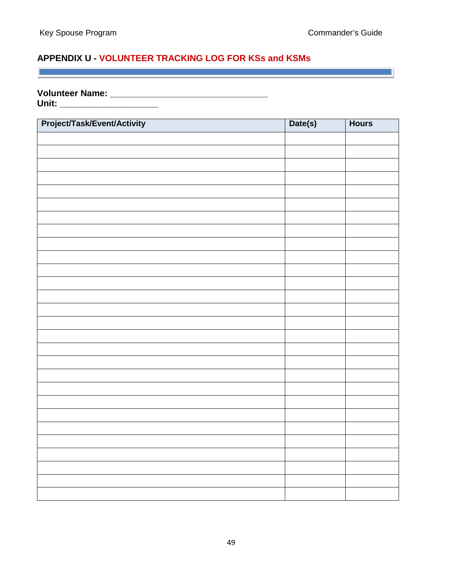$\mathcal{L}_{\mathcal{A}}$  and  $\mathcal{L}_{\mathcal{A}}$  are the set of the set of the set of the set of  $\mathcal{L}_{\mathcal{A}}$ 

## <span id="page-49-0"></span>**APPENDIX U - VOLUNTEER TRACKING LOG FOR KSs and KSMs**

 $\mathcal{L}(\mathcal{L}(\mathcal{L}(\mathcal{L}(\mathcal{L}(\mathcal{L}(\mathcal{L}(\mathcal{L}(\mathcal{L}(\mathcal{L}(\mathcal{L}(\mathcal{L}(\mathcal{L}(\mathcal{L}(\mathcal{L}(\mathcal{L}(\mathcal{L}(\mathcal{L}(\mathcal{L}(\mathcal{L}(\mathcal{L}(\mathcal{L}(\mathcal{L}(\mathcal{L}(\mathcal{L}(\mathcal{L}(\mathcal{L}(\mathcal{L}(\mathcal{L}(\mathcal{L}(\mathcal{L}(\mathcal{L}(\mathcal{L}(\mathcal{L}(\mathcal{L}(\mathcal{L}(\mathcal{$ 

**Volunteer Name: \_\_\_\_\_\_\_\_\_\_\_\_\_\_\_\_\_\_\_\_\_\_\_\_\_\_\_\_\_\_\_\_ Unit: \_\_\_\_\_\_\_\_\_\_\_\_\_\_\_\_\_\_\_\_**

| Project/Task/Event/Activity | Date(s) | <b>Hours</b> |
|-----------------------------|---------|--------------|
|                             |         |              |
|                             |         |              |
|                             |         |              |
|                             |         |              |
|                             |         |              |
|                             |         |              |
|                             |         |              |
|                             |         |              |
|                             |         |              |
|                             |         |              |
|                             |         |              |
|                             |         |              |
|                             |         |              |
|                             |         |              |
|                             |         |              |
|                             |         |              |
|                             |         |              |
|                             |         |              |
|                             |         |              |
|                             |         |              |
|                             |         |              |
|                             |         |              |
|                             |         |              |
|                             |         |              |
|                             |         |              |
|                             |         |              |
|                             |         |              |
|                             |         |              |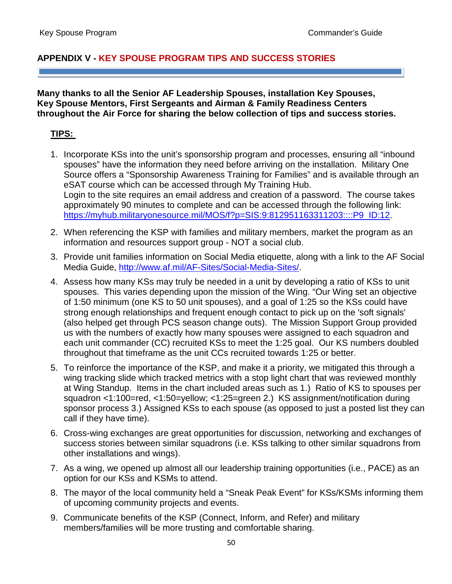## <span id="page-50-0"></span>**APPENDIX V - KEY SPOUSE PROGRAM TIPS AND SUCCESS STORIES**

**Many thanks to all the Senior AF Leadership Spouses, installation Key Spouses, Key Spouse Mentors, First Sergeants and Airman & Family Readiness Centers throughout the Air Force for sharing the below collection of tips and success stories.**

## **TIPS:**

- 1. Incorporate KSs into the unit's sponsorship program and processes, ensuring all "inbound spouses" have the information they need before arriving on the installation. Military One Source offers a "Sponsorship Awareness Training for Families" and is available through an eSAT course which can be accessed through My Training Hub. Login to the site requires an email address and creation of a password. The course takes approximately 90 minutes to complete and can be accessed through the following link: [https://myhub.militaryonesource.mil/MOS/f?p=SIS:9:812951163311203::::P9\\_ID:12.](https://myhub.militaryonesource.mil/MOS/f?p=SIS:9:812951163311203::::P9_ID:12)
- 2. When referencing the KSP with families and military members, market the program as an information and resources support group - NOT a social club.
- 3. Provide unit families information on Social Media etiquette, along with a link to the AF Social Media Guide, [http://www.af.mil/AF-Sites/Social-Media-Sites/.](http://www.af.mil/AF-Sites/Social-Media-Sites/)
- 4. Assess how many KSs may truly be needed in a unit by developing a ratio of KSs to unit spouses. This varies depending upon the mission of the Wing. "Our Wing set an objective of 1:50 minimum (one KS to 50 unit spouses), and a goal of 1:25 so the KSs could have strong enough relationships and frequent enough contact to pick up on the 'soft signals' (also helped get through PCS season change outs). The Mission Support Group provided us with the numbers of exactly how many spouses were assigned to each squadron and each unit commander (CC) recruited KSs to meet the 1:25 goal. Our KS numbers doubled throughout that timeframe as the unit CCs recruited towards 1:25 or better.
- 5. To reinforce the importance of the KSP, and make it a priority, we mitigated this through a wing tracking slide which tracked metrics with a stop light chart that was reviewed monthly at Wing Standup. Items in the chart included areas such as 1.) Ratio of KS to spouses per squadron <1:100=red, <1:50=yellow; <1:25=green 2.) KS assignment/notification during sponsor process 3.) Assigned KSs to each spouse (as opposed to just a posted list they can call if they have time).
- 6. Cross-wing exchanges are great opportunities for discussion, networking and exchanges of success stories between similar squadrons (i.e. KSs talking to other similar squadrons from other installations and wings).
- 7. As a wing, we opened up almost all our leadership training opportunities (i.e., PACE) as an option for our KSs and KSMs to attend.
- 8. The mayor of the local community held a "Sneak Peak Event" for KSs/KSMs informing them of upcoming community projects and events.
- 9. Communicate benefits of the KSP (Connect, Inform, and Refer) and military members/families will be more trusting and comfortable sharing.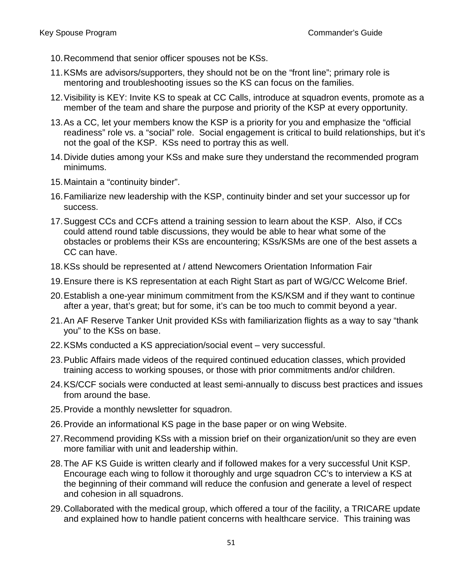- 10.Recommend that senior officer spouses not be KSs.
- 11.KSMs are advisors/supporters, they should not be on the "front line"; primary role is mentoring and troubleshooting issues so the KS can focus on the families.
- 12.Visibility is KEY: Invite KS to speak at CC Calls, introduce at squadron events, promote as a member of the team and share the purpose and priority of the KSP at every opportunity.
- 13.As a CC, let your members know the KSP is a priority for you and emphasize the "official readiness" role vs. a "social" role. Social engagement is critical to build relationships, but it's not the goal of the KSP. KSs need to portray this as well.
- 14.Divide duties among your KSs and make sure they understand the recommended program minimums.
- 15.Maintain a "continuity binder".
- 16.Familiarize new leadership with the KSP, continuity binder and set your successor up for success.
- 17.Suggest CCs and CCFs attend a training session to learn about the KSP. Also, if CCs could attend round table discussions, they would be able to hear what some of the obstacles or problems their KSs are encountering; KSs/KSMs are one of the best assets a CC can have.
- 18.KSs should be represented at / attend Newcomers Orientation Information Fair
- 19.Ensure there is KS representation at each Right Start as part of WG/CC Welcome Brief.
- 20.Establish a one-year minimum commitment from the KS/KSM and if they want to continue after a year, that's great; but for some, it's can be too much to commit beyond a year.
- 21.An AF Reserve Tanker Unit provided KSs with familiarization flights as a way to say "thank you" to the KSs on base.
- 22.KSMs conducted a KS appreciation/social event very successful.
- 23.Public Affairs made videos of the required continued education classes, which provided training access to working spouses, or those with prior commitments and/or children.
- 24.KS/CCF socials were conducted at least semi-annually to discuss best practices and issues from around the base.
- 25.Provide a monthly newsletter for squadron.
- 26.Provide an informational KS page in the base paper or on wing Website.
- 27.Recommend providing KSs with a mission brief on their organization/unit so they are even more familiar with unit and leadership within.
- 28.The AF KS Guide is written clearly and if followed makes for a very successful Unit KSP. Encourage each wing to follow it thoroughly and urge squadron CC's to interview a KS at the beginning of their command will reduce the confusion and generate a level of respect and cohesion in all squadrons.
- 29.Collaborated with the medical group, which offered a tour of the facility, a TRICARE update and explained how to handle patient concerns with healthcare service. This training was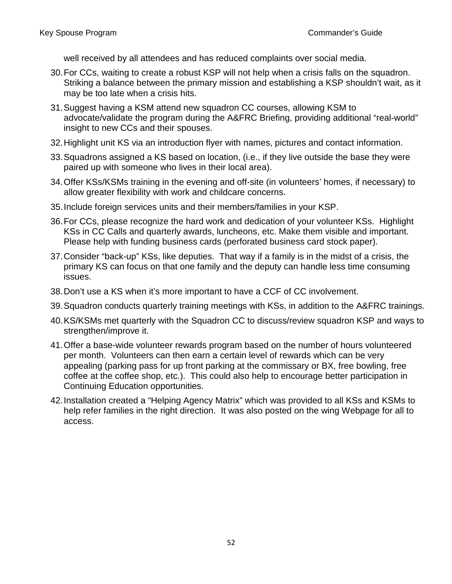well received by all attendees and has reduced complaints over social media.

- 30.For CCs, waiting to create a robust KSP will not help when a crisis falls on the squadron. Striking a balance between the primary mission and establishing a KSP shouldn't wait, as it may be too late when a crisis hits.
- 31.Suggest having a KSM attend new squadron CC courses, allowing KSM to advocate/validate the program during the A&FRC Briefing, providing additional "real-world" insight to new CCs and their spouses.
- 32.Highlight unit KS via an introduction flyer with names, pictures and contact information.
- 33.Squadrons assigned a KS based on location, (i.e., if they live outside the base they were paired up with someone who lives in their local area).
- 34.Offer KSs/KSMs training in the evening and off-site (in volunteers' homes, if necessary) to allow greater flexibility with work and childcare concerns.
- 35.Include foreign services units and their members/families in your KSP.
- 36.For CCs, please recognize the hard work and dedication of your volunteer KSs. Highlight KSs in CC Calls and quarterly awards, luncheons, etc. Make them visible and important. Please help with funding business cards (perforated business card stock paper).
- 37.Consider "back-up" KSs, like deputies. That way if a family is in the midst of a crisis, the primary KS can focus on that one family and the deputy can handle less time consuming issues.
- 38.Don't use a KS when it's more important to have a CCF of CC involvement.
- 39.Squadron conducts quarterly training meetings with KSs, in addition to the A&FRC trainings.
- 40.KS/KSMs met quarterly with the Squadron CC to discuss/review squadron KSP and ways to strengthen/improve it.
- 41.Offer a base-wide volunteer rewards program based on the number of hours volunteered per month. Volunteers can then earn a certain level of rewards which can be very appealing (parking pass for up front parking at the commissary or BX, free bowling, free coffee at the coffee shop, etc.). This could also help to encourage better participation in Continuing Education opportunities.
- 42.Installation created a "Helping Agency Matrix" which was provided to all KSs and KSMs to help refer families in the right direction. It was also posted on the wing Webpage for all to access.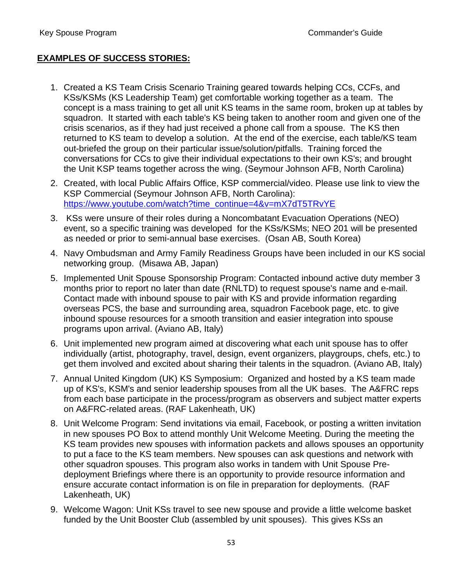## **EXAMPLES OF SUCCESS STORIES:**

- 1. Created a KS Team Crisis Scenario Training geared towards helping CCs, CCFs, and KSs/KSMs (KS Leadership Team) get comfortable working together as a team. The concept is a mass training to get all unit KS teams in the same room, broken up at tables by squadron. It started with each table's KS being taken to another room and given one of the crisis scenarios, as if they had just received a phone call from a spouse. The KS then returned to KS team to develop a solution. At the end of the exercise, each table/KS team out-briefed the group on their particular issue/solution/pitfalls. Training forced the conversations for CCs to give their individual expectations to their own KS's; and brought the Unit KSP teams together across the wing. (Seymour Johnson AFB, North Carolina)
- 2. Created, with local Public Affairs Office, KSP commercial/video. Please use link to view the KSP Commercial (Seymour Johnson AFB, North Carolina): https://www.youtube.com/watch?time\_continue=4&v=mX7dT5TRvYE
- 3. KSs were unsure of their roles during a Noncombatant Evacuation Operations (NEO) event, so a specific training was developed for the KSs/KSMs; NEO 201 will be presented as needed or prior to semi-annual base exercises. (Osan AB, South Korea)
- 4. Navy Ombudsman and Army Family Readiness Groups have been included in our KS social networking group. (Misawa AB, Japan)
- 5. Implemented Unit Spouse Sponsorship Program: Contacted inbound active duty member 3 months prior to report no later than date (RNLTD) to request spouse's name and e-mail. Contact made with inbound spouse to pair with KS and provide information regarding overseas PCS, the base and surrounding area, squadron Facebook page, etc. to give inbound spouse resources for a smooth transition and easier integration into spouse programs upon arrival. (Aviano AB, Italy)
- 6. Unit implemented new program aimed at discovering what each unit spouse has to offer individually (artist, photography, travel, design, event organizers, playgroups, chefs, etc.) to get them involved and excited about sharing their talents in the squadron. (Aviano AB, Italy)
- 7. Annual United Kingdom (UK) KS Symposium: Organized and hosted by a KS team made up of KS's, KSM's and senior leadership spouses from all the UK bases. The A&FRC reps from each base participate in the process/program as observers and subject matter experts on A&FRC-related areas. (RAF Lakenheath, UK)
- 8. Unit Welcome Program: Send invitations via email, Facebook, or posting a written invitation in new spouses PO Box to attend monthly Unit Welcome Meeting. During the meeting the KS team provides new spouses with information packets and allows spouses an opportunity to put a face to the KS team members. New spouses can ask questions and network with other squadron spouses. This program also works in tandem with Unit Spouse Predeployment Briefings where there is an opportunity to provide resource information and ensure accurate contact information is on file in preparation for deployments. (RAF Lakenheath, UK)
- 9. Welcome Wagon: Unit KSs travel to see new spouse and provide a little welcome basket funded by the Unit Booster Club (assembled by unit spouses). This gives KSs an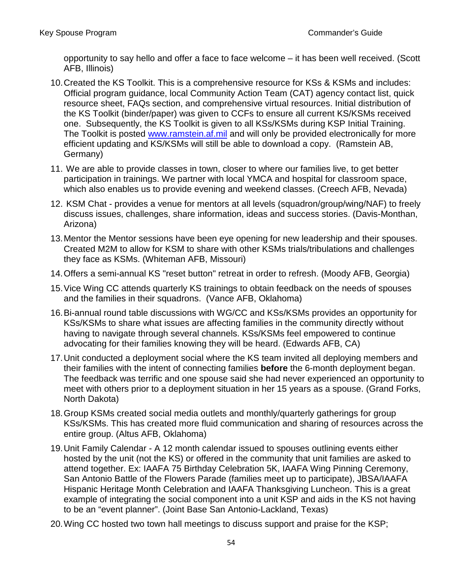opportunity to say hello and offer a face to face welcome – it has been well received. (Scott AFB, Illinois)

- 10.Created the KS Toolkit. This is a comprehensive resource for KSs & KSMs and includes: Official program guidance, local Community Action Team (CAT) agency contact list, quick resource sheet, FAQs section, and comprehensive virtual resources. Initial distribution of the KS Toolkit (binder/paper) was given to CCFs to ensure all current KS/KSMs received one. Subsequently, the KS Toolkit is given to all KSs/KSMs during KSP Initial Training. The Toolkit is posted [www.ramstein.af.mil](http://www.ramstein.af.mil/) and will only be provided electronically for more efficient updating and KS/KSMs will still be able to download a copy. (Ramstein AB, Germany)
- 11. We are able to provide classes in town, closer to where our families live, to get better participation in trainings. We partner with local YMCA and hospital for classroom space, which also enables us to provide evening and weekend classes. (Creech AFB, Nevada)
- 12. KSM Chat provides a venue for mentors at all levels (squadron/group/wing/NAF) to freely discuss issues, challenges, share information, ideas and success stories. (Davis-Monthan, Arizona)
- 13.Mentor the Mentor sessions have been eye opening for new leadership and their spouses. Created M2M to allow for KSM to share with other KSMs trials/tribulations and challenges they face as KSMs. (Whiteman AFB, Missouri)
- 14.Offers a semi-annual KS "reset button" retreat in order to refresh. (Moody AFB, Georgia)
- 15.Vice Wing CC attends quarterly KS trainings to obtain feedback on the needs of spouses and the families in their squadrons. (Vance AFB, Oklahoma)
- 16.Bi-annual round table discussions with WG/CC and KSs/KSMs provides an opportunity for KSs/KSMs to share what issues are affecting families in the community directly without having to navigate through several channels. KSs/KSMs feel empowered to continue advocating for their families knowing they will be heard. (Edwards AFB, CA)
- 17.Unit conducted a deployment social where the KS team invited all deploying members and their families with the intent of connecting families **before** the 6-month deployment began. The feedback was terrific and one spouse said she had never experienced an opportunity to meet with others prior to a deployment situation in her 15 years as a spouse. (Grand Forks, North Dakota)
- 18.Group KSMs created social media outlets and monthly/quarterly gatherings for group KSs/KSMs. This has created more fluid communication and sharing of resources across the entire group. (Altus AFB, Oklahoma)
- 19.Unit Family Calendar A 12 month calendar issued to spouses outlining events either hosted by the unit (not the KS) or offered in the community that unit families are asked to attend together. Ex: IAAFA 75 Birthday Celebration 5K, IAAFA Wing Pinning Ceremony, San Antonio Battle of the Flowers Parade (families meet up to participate), JBSA/IAAFA Hispanic Heritage Month Celebration and IAAFA Thanksgiving Luncheon. This is a great example of integrating the social component into a unit KSP and aids in the KS not having to be an "event planner". (Joint Base San Antonio-Lackland, Texas)
- 20.Wing CC hosted two town hall meetings to discuss support and praise for the KSP;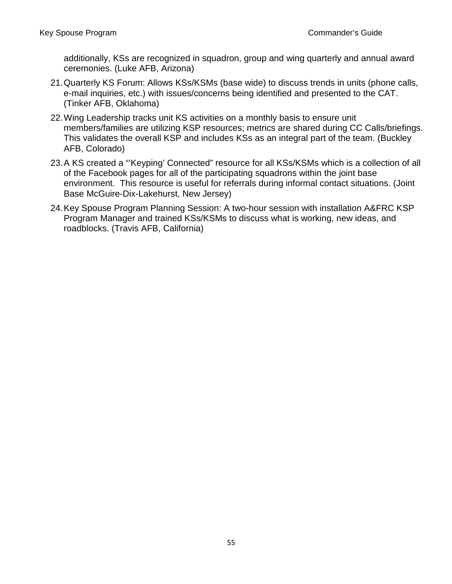additionally, KSs are recognized in squadron, group and wing quarterly and annual award ceremonies. (Luke AFB, Arizona)

- 21.Quarterly KS Forum: Allows KSs/KSMs (base wide) to discuss trends in units (phone calls, e-mail inquiries, etc.) with issues/concerns being identified and presented to the CAT. (Tinker AFB, Oklahoma)
- 22.Wing Leadership tracks unit KS activities on a monthly basis to ensure unit members/families are utilizing KSP resources; metrics are shared during CC Calls/briefings. This validates the overall KSP and includes KSs as an integral part of the team. (Buckley AFB, Colorado)
- 23.A KS created a "'Keyping' Connected" resource for all KSs/KSMs which is a collection of all of the Facebook pages for all of the participating squadrons within the joint base environment. This resource is useful for referrals during informal contact situations. (Joint Base McGuire-Dix-Lakehurst, New Jersey)
- 24.Key Spouse Program Planning Session: A two-hour session with installation A&FRC KSP Program Manager and trained KSs/KSMs to discuss what is working, new ideas, and roadblocks. (Travis AFB, California)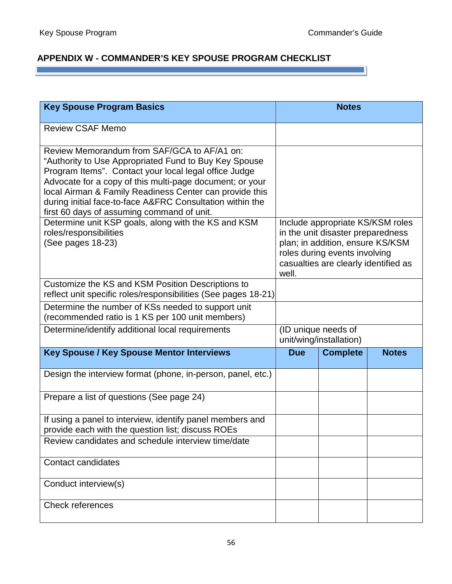П

## <span id="page-56-0"></span>**APPENDIX W - COMMANDER'S KEY SPOUSE PROGRAM CHECKLIST**

| <b>Key Spouse Program Basics</b>                                                                                                                                                                                                                                                                                                                                                                | <b>Notes</b>                                                                                                                                                                                |                                                |              |
|-------------------------------------------------------------------------------------------------------------------------------------------------------------------------------------------------------------------------------------------------------------------------------------------------------------------------------------------------------------------------------------------------|---------------------------------------------------------------------------------------------------------------------------------------------------------------------------------------------|------------------------------------------------|--------------|
| <b>Review CSAF Memo</b>                                                                                                                                                                                                                                                                                                                                                                         |                                                                                                                                                                                             |                                                |              |
| Review Memorandum from SAF/GCA to AF/A1 on:<br>"Authority to Use Appropriated Fund to Buy Key Spouse<br>Program Items". Contact your local legal office Judge<br>Advocate for a copy of this multi-page document; or your<br>local Airman & Family Readiness Center can provide this<br>during initial face-to-face A&FRC Consultation within the<br>first 60 days of assuming command of unit. |                                                                                                                                                                                             |                                                |              |
| Determine unit KSP goals, along with the KS and KSM<br>roles/responsibilities<br>(See pages 18-23)                                                                                                                                                                                                                                                                                              | Include appropriate KS/KSM roles<br>in the unit disaster preparedness<br>plan; in addition, ensure KS/KSM<br>roles during events involving<br>casualties are clearly identified as<br>well. |                                                |              |
| Customize the KS and KSM Position Descriptions to<br>reflect unit specific roles/responsibilities (See pages 18-21)                                                                                                                                                                                                                                                                             |                                                                                                                                                                                             |                                                |              |
| Determine the number of KSs needed to support unit<br>(recommended ratio is 1 KS per 100 unit members)                                                                                                                                                                                                                                                                                          |                                                                                                                                                                                             |                                                |              |
| Determine/identify additional local requirements                                                                                                                                                                                                                                                                                                                                                |                                                                                                                                                                                             | (ID unique needs of<br>unit/wing/installation) |              |
| Key Spouse / Key Spouse Mentor Interviews                                                                                                                                                                                                                                                                                                                                                       | <b>Due</b>                                                                                                                                                                                  | <b>Complete</b>                                | <b>Notes</b> |
| Design the interview format (phone, in-person, panel, etc.)                                                                                                                                                                                                                                                                                                                                     |                                                                                                                                                                                             |                                                |              |
| Prepare a list of questions (See page 24)                                                                                                                                                                                                                                                                                                                                                       |                                                                                                                                                                                             |                                                |              |
| If using a panel to interview, identify panel members and<br>provide each with the question list; discuss ROEs                                                                                                                                                                                                                                                                                  |                                                                                                                                                                                             |                                                |              |
| Review candidates and schedule interview time/date                                                                                                                                                                                                                                                                                                                                              |                                                                                                                                                                                             |                                                |              |
| <b>Contact candidates</b>                                                                                                                                                                                                                                                                                                                                                                       |                                                                                                                                                                                             |                                                |              |
| Conduct interview(s)                                                                                                                                                                                                                                                                                                                                                                            |                                                                                                                                                                                             |                                                |              |
| <b>Check references</b>                                                                                                                                                                                                                                                                                                                                                                         |                                                                                                                                                                                             |                                                |              |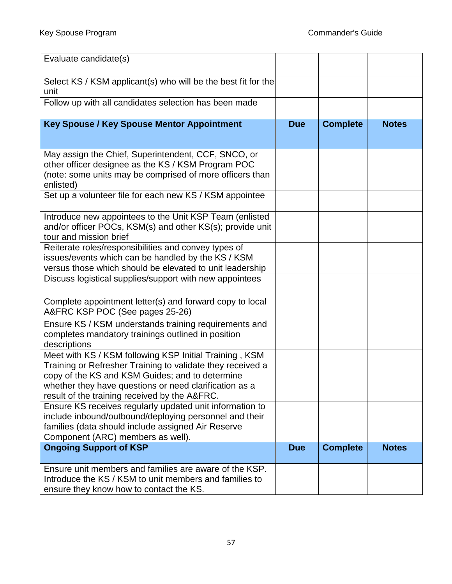| Evaluate candidate(s)                                                                                                                                                                                                                                                              |            |                 |              |
|------------------------------------------------------------------------------------------------------------------------------------------------------------------------------------------------------------------------------------------------------------------------------------|------------|-----------------|--------------|
| Select KS / KSM applicant(s) who will be the best fit for the<br>unit                                                                                                                                                                                                              |            |                 |              |
| Follow up with all candidates selection has been made                                                                                                                                                                                                                              |            |                 |              |
| Key Spouse / Key Spouse Mentor Appointment                                                                                                                                                                                                                                         | <b>Due</b> | <b>Complete</b> | <b>Notes</b> |
| May assign the Chief, Superintendent, CCF, SNCO, or<br>other officer designee as the KS / KSM Program POC<br>(note: some units may be comprised of more officers than<br>enlisted)                                                                                                 |            |                 |              |
| Set up a volunteer file for each new KS / KSM appointee                                                                                                                                                                                                                            |            |                 |              |
| Introduce new appointees to the Unit KSP Team (enlisted<br>and/or officer POCs, KSM(s) and other KS(s); provide unit<br>tour and mission brief                                                                                                                                     |            |                 |              |
| Reiterate roles/responsibilities and convey types of<br>issues/events which can be handled by the KS / KSM<br>versus those which should be elevated to unit leadership                                                                                                             |            |                 |              |
| Discuss logistical supplies/support with new appointees                                                                                                                                                                                                                            |            |                 |              |
| Complete appointment letter(s) and forward copy to local<br>A&FRC KSP POC (See pages 25-26)                                                                                                                                                                                        |            |                 |              |
| Ensure KS / KSM understands training requirements and<br>completes mandatory trainings outlined in position<br>descriptions                                                                                                                                                        |            |                 |              |
| Meet with KS / KSM following KSP Initial Training, KSM<br>Training or Refresher Training to validate they received a<br>copy of the KS and KSM Guides; and to determine<br>whether they have questions or need clarification as a<br>result of the training received by the A&FRC. |            |                 |              |
| Ensure KS receives regularly updated unit information to<br>include inbound/outbound/deploying personnel and their<br>families (data should include assigned Air Reserve<br>Component (ARC) members as well).                                                                      |            |                 |              |
| <b>Ongoing Support of KSP</b>                                                                                                                                                                                                                                                      | <b>Due</b> | <b>Complete</b> | <b>Notes</b> |
| Ensure unit members and families are aware of the KSP.<br>Introduce the KS / KSM to unit members and families to<br>ensure they know how to contact the KS.                                                                                                                        |            |                 |              |